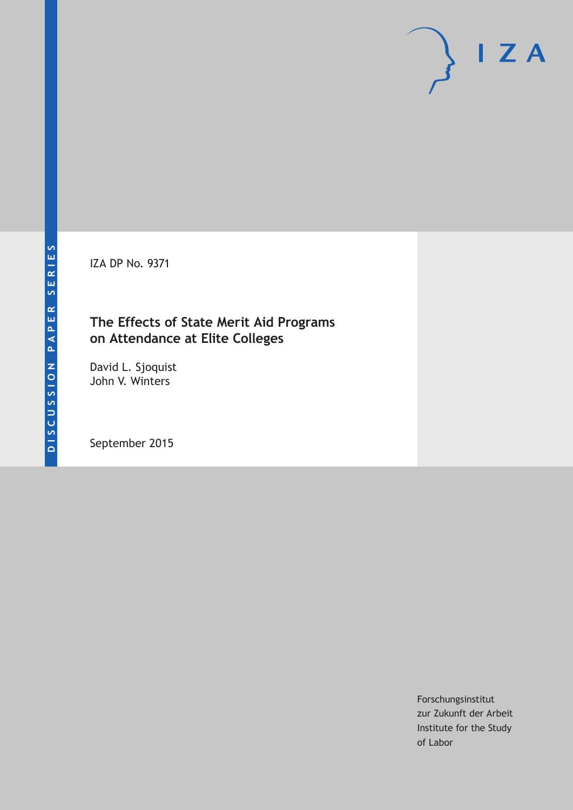IZA DP No. 9371

# **The Effects of State Merit Aid Programs on Attendance at Elite Colleges**

David L. Sjoquist John V. Winters

September 2015

Forschungsinstitut zur Zukunft der Arbeit Institute for the Study of Labor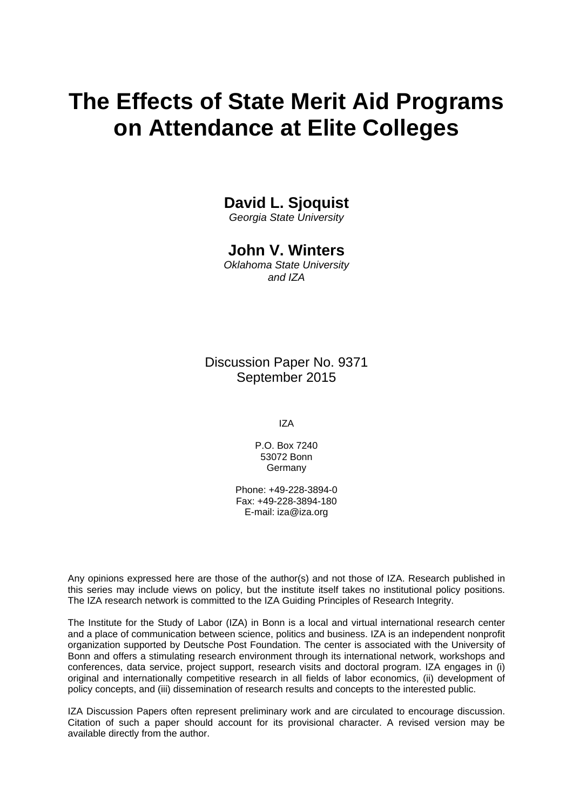# **The Effects of State Merit Aid Programs on Attendance at Elite Colleges**

### **David L. Sjoquist**

*Georgia State University* 

### **John V. Winters**

*Oklahoma State University and IZA* 

Discussion Paper No. 9371 September 2015

IZA

P.O. Box 7240 53072 Bonn **Germany** 

Phone: +49-228-3894-0 Fax: +49-228-3894-180 E-mail: iza@iza.org

Any opinions expressed here are those of the author(s) and not those of IZA. Research published in this series may include views on policy, but the institute itself takes no institutional policy positions. The IZA research network is committed to the IZA Guiding Principles of Research Integrity.

The Institute for the Study of Labor (IZA) in Bonn is a local and virtual international research center and a place of communication between science, politics and business. IZA is an independent nonprofit organization supported by Deutsche Post Foundation. The center is associated with the University of Bonn and offers a stimulating research environment through its international network, workshops and conferences, data service, project support, research visits and doctoral program. IZA engages in (i) original and internationally competitive research in all fields of labor economics, (ii) development of policy concepts, and (iii) dissemination of research results and concepts to the interested public.

IZA Discussion Papers often represent preliminary work and are circulated to encourage discussion. Citation of such a paper should account for its provisional character. A revised version may be available directly from the author.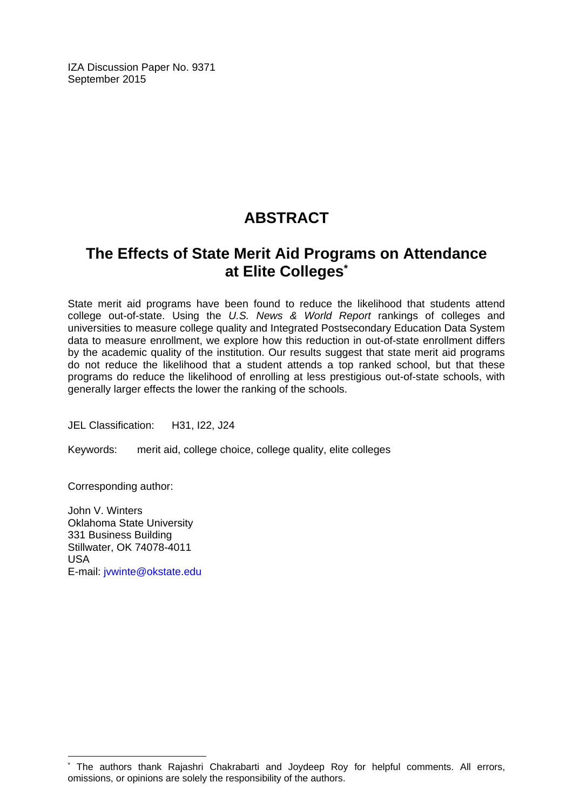IZA Discussion Paper No. 9371 September 2015

# **ABSTRACT**

# **The Effects of State Merit Aid Programs on Attendance at Elite Colleges\***

State merit aid programs have been found to reduce the likelihood that students attend college out-of-state. Using the *U.S. News & World Report* rankings of colleges and universities to measure college quality and Integrated Postsecondary Education Data System data to measure enrollment, we explore how this reduction in out-of-state enrollment differs by the academic quality of the institution. Our results suggest that state merit aid programs do not reduce the likelihood that a student attends a top ranked school, but that these programs do reduce the likelihood of enrolling at less prestigious out-of-state schools, with generally larger effects the lower the ranking of the schools.

JEL Classification: H31, I22, J24

Keywords: merit aid, college choice, college quality, elite colleges

Corresponding author:

 $\overline{\phantom{a}}$ 

John V. Winters Oklahoma State University 331 Business Building Stillwater, OK 74078-4011 USA E-mail: jvwinte@okstate.edu

<sup>\*</sup> The authors thank Rajashri Chakrabarti and Joydeep Roy for helpful comments. All errors, omissions, or opinions are solely the responsibility of the authors.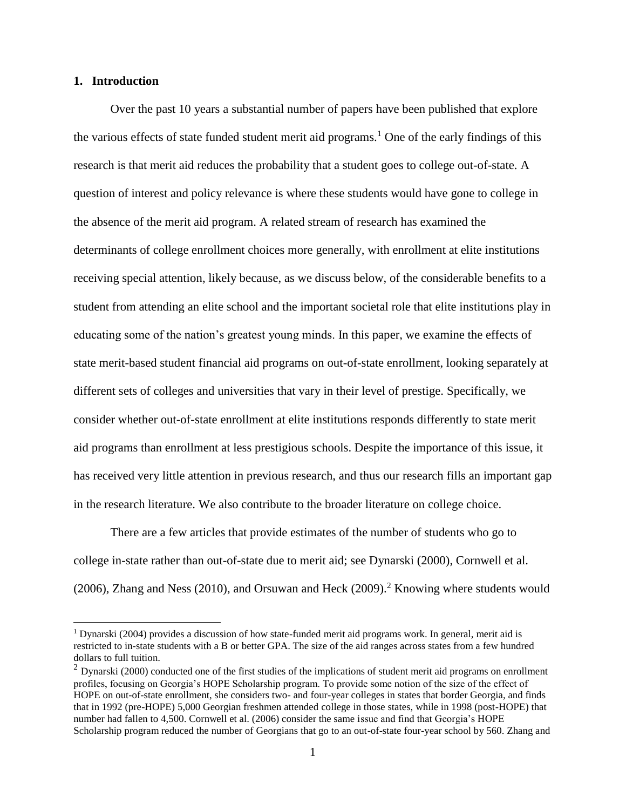#### **1. Introduction**

 $\overline{a}$ 

Over the past 10 years a substantial number of papers have been published that explore the various effects of state funded student merit aid programs.<sup>1</sup> One of the early findings of this research is that merit aid reduces the probability that a student goes to college out-of-state. A question of interest and policy relevance is where these students would have gone to college in the absence of the merit aid program. A related stream of research has examined the determinants of college enrollment choices more generally, with enrollment at elite institutions receiving special attention, likely because, as we discuss below, of the considerable benefits to a student from attending an elite school and the important societal role that elite institutions play in educating some of the nation's greatest young minds. In this paper, we examine the effects of state merit-based student financial aid programs on out-of-state enrollment, looking separately at different sets of colleges and universities that vary in their level of prestige. Specifically, we consider whether out-of-state enrollment at elite institutions responds differently to state merit aid programs than enrollment at less prestigious schools. Despite the importance of this issue, it has received very little attention in previous research, and thus our research fills an important gap in the research literature. We also contribute to the broader literature on college choice.

There are a few articles that provide estimates of the number of students who go to college in-state rather than out-of-state due to merit aid; see Dynarski (2000), Cornwell et al. (2006), Zhang and Ness (2010), and Orsuwan and Heck (2009).<sup>2</sup> Knowing where students would

<sup>1</sup> Dynarski (2004) provides a discussion of how state-funded merit aid programs work. In general, merit aid is restricted to in-state students with a B or better GPA. The size of the aid ranges across states from a few hundred dollars to full tuition.

 $2$  Dynarski (2000) conducted one of the first studies of the implications of student merit aid programs on enrollment profiles, focusing on Georgia's HOPE Scholarship program. To provide some notion of the size of the effect of HOPE on out-of-state enrollment, she considers two- and four-year colleges in states that border Georgia, and finds that in 1992 (pre-HOPE) 5,000 Georgian freshmen attended college in those states, while in 1998 (post-HOPE) that number had fallen to 4,500. Cornwell et al. (2006) consider the same issue and find that Georgia's HOPE Scholarship program reduced the number of Georgians that go to an out-of-state four-year school by 560. Zhang and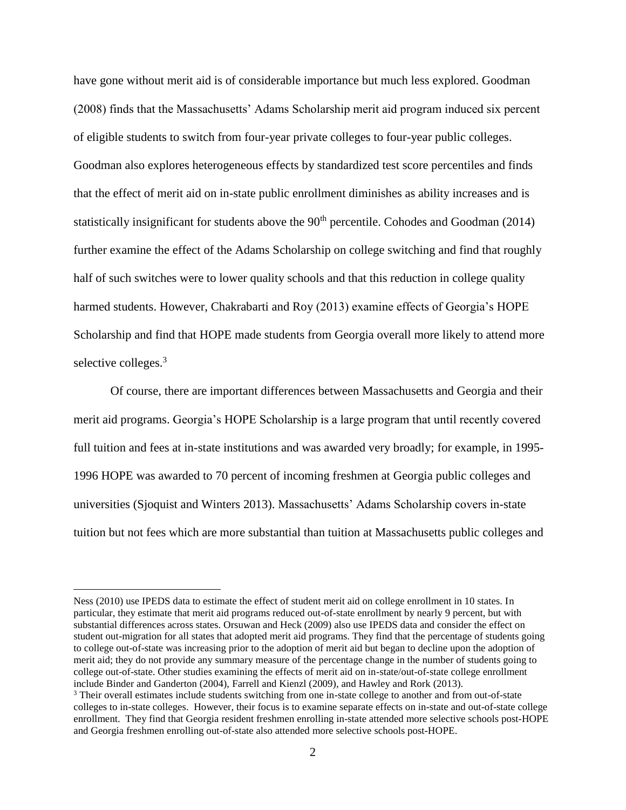have gone without merit aid is of considerable importance but much less explored. Goodman (2008) finds that the Massachusetts' Adams Scholarship merit aid program induced six percent of eligible students to switch from four-year private colleges to four-year public colleges. Goodman also explores heterogeneous effects by standardized test score percentiles and finds that the effect of merit aid on in-state public enrollment diminishes as ability increases and is statistically insignificant for students above the 90<sup>th</sup> percentile. Cohodes and Goodman (2014) further examine the effect of the Adams Scholarship on college switching and find that roughly half of such switches were to lower quality schools and that this reduction in college quality harmed students. However, Chakrabarti and Roy (2013) examine effects of Georgia's HOPE Scholarship and find that HOPE made students from Georgia overall more likely to attend more selective colleges.<sup>3</sup>

Of course, there are important differences between Massachusetts and Georgia and their merit aid programs. Georgia's HOPE Scholarship is a large program that until recently covered full tuition and fees at in-state institutions and was awarded very broadly; for example, in 1995- 1996 HOPE was awarded to 70 percent of incoming freshmen at Georgia public colleges and universities (Sjoquist and Winters 2013). Massachusetts' Adams Scholarship covers in-state tuition but not fees which are more substantial than tuition at Massachusetts public colleges and

Ness (2010) use IPEDS data to estimate the effect of student merit aid on college enrollment in 10 states. In particular, they estimate that merit aid programs reduced out-of-state enrollment by nearly 9 percent, but with substantial differences across states. Orsuwan and Heck (2009) also use IPEDS data and consider the effect on student out-migration for all states that adopted merit aid programs. They find that the percentage of students going to college out-of-state was increasing prior to the adoption of merit aid but began to decline upon the adoption of merit aid; they do not provide any summary measure of the percentage change in the number of students going to college out-of-state. Other studies examining the effects of merit aid on in-state/out-of-state college enrollment include Binder and Ganderton (2004), Farrell and Kienzl (2009), and Hawley and Rork (2013).

<sup>&</sup>lt;sup>3</sup> Their overall estimates include students switching from one in-state college to another and from out-of-state colleges to in-state colleges. However, their focus is to examine separate effects on in-state and out-of-state college enrollment. They find that Georgia resident freshmen enrolling in-state attended more selective schools post-HOPE and Georgia freshmen enrolling out-of-state also attended more selective schools post-HOPE.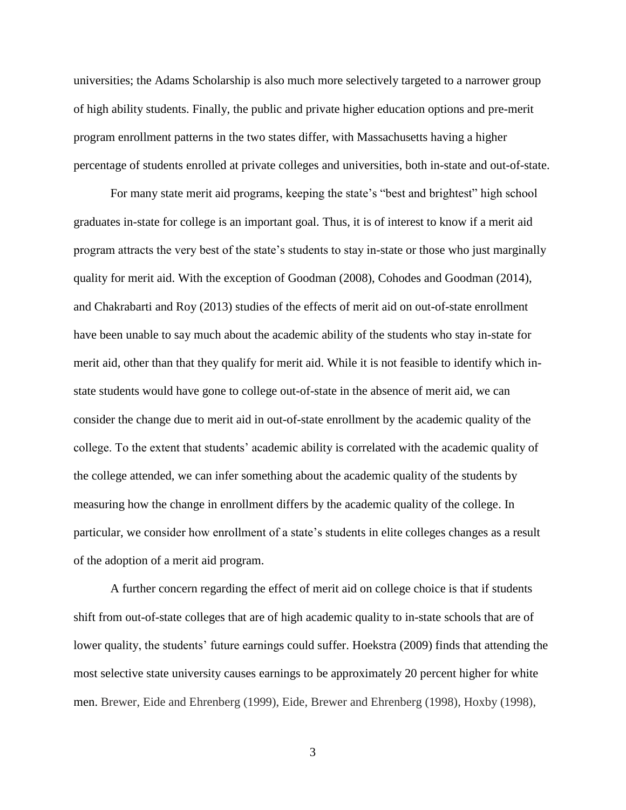universities; the Adams Scholarship is also much more selectively targeted to a narrower group of high ability students. Finally, the public and private higher education options and pre-merit program enrollment patterns in the two states differ, with Massachusetts having a higher percentage of students enrolled at private colleges and universities, both in-state and out-of-state.

For many state merit aid programs, keeping the state's "best and brightest" high school graduates in-state for college is an important goal. Thus, it is of interest to know if a merit aid program attracts the very best of the state's students to stay in-state or those who just marginally quality for merit aid. With the exception of Goodman (2008), Cohodes and Goodman (2014), and Chakrabarti and Roy (2013) studies of the effects of merit aid on out-of-state enrollment have been unable to say much about the academic ability of the students who stay in-state for merit aid, other than that they qualify for merit aid. While it is not feasible to identify which instate students would have gone to college out-of-state in the absence of merit aid, we can consider the change due to merit aid in out-of-state enrollment by the academic quality of the college. To the extent that students' academic ability is correlated with the academic quality of the college attended, we can infer something about the academic quality of the students by measuring how the change in enrollment differs by the academic quality of the college. In particular, we consider how enrollment of a state's students in elite colleges changes as a result of the adoption of a merit aid program.

A further concern regarding the effect of merit aid on college choice is that if students shift from out-of-state colleges that are of high academic quality to in-state schools that are of lower quality, the students' future earnings could suffer. Hoekstra (2009) finds that attending the most selective state university causes earnings to be approximately 20 percent higher for white men. Brewer, Eide and Ehrenberg (1999), Eide, Brewer and Ehrenberg (1998), Hoxby (1998),

3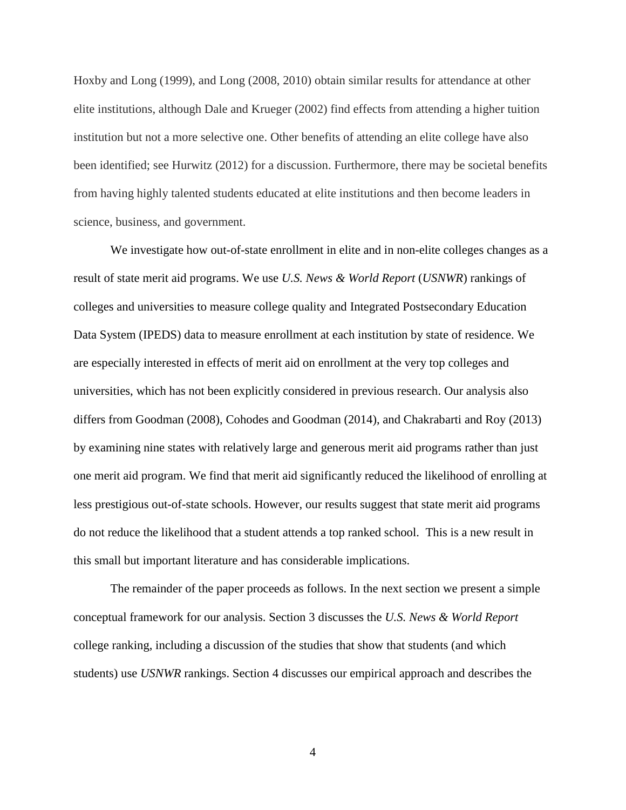Hoxby and Long (1999), and Long (2008, 2010) obtain similar results for attendance at other elite institutions, although Dale and Krueger (2002) find effects from attending a higher tuition institution but not a more selective one. Other benefits of attending an elite college have also been identified; see Hurwitz (2012) for a discussion. Furthermore, there may be societal benefits from having highly talented students educated at elite institutions and then become leaders in science, business, and government.

We investigate how out-of-state enrollment in elite and in non-elite colleges changes as a result of state merit aid programs. We use *U.S. News & World Report* (*USNWR*) rankings of colleges and universities to measure college quality and Integrated Postsecondary Education Data System (IPEDS) data to measure enrollment at each institution by state of residence. We are especially interested in effects of merit aid on enrollment at the very top colleges and universities, which has not been explicitly considered in previous research. Our analysis also differs from Goodman (2008), Cohodes and Goodman (2014), and Chakrabarti and Roy (2013) by examining nine states with relatively large and generous merit aid programs rather than just one merit aid program. We find that merit aid significantly reduced the likelihood of enrolling at less prestigious out-of-state schools. However, our results suggest that state merit aid programs do not reduce the likelihood that a student attends a top ranked school. This is a new result in this small but important literature and has considerable implications.

The remainder of the paper proceeds as follows. In the next section we present a simple conceptual framework for our analysis. Section 3 discusses the *U.S. News & World Report* college ranking, including a discussion of the studies that show that students (and which students) use *USNWR* rankings. Section 4 discusses our empirical approach and describes the

4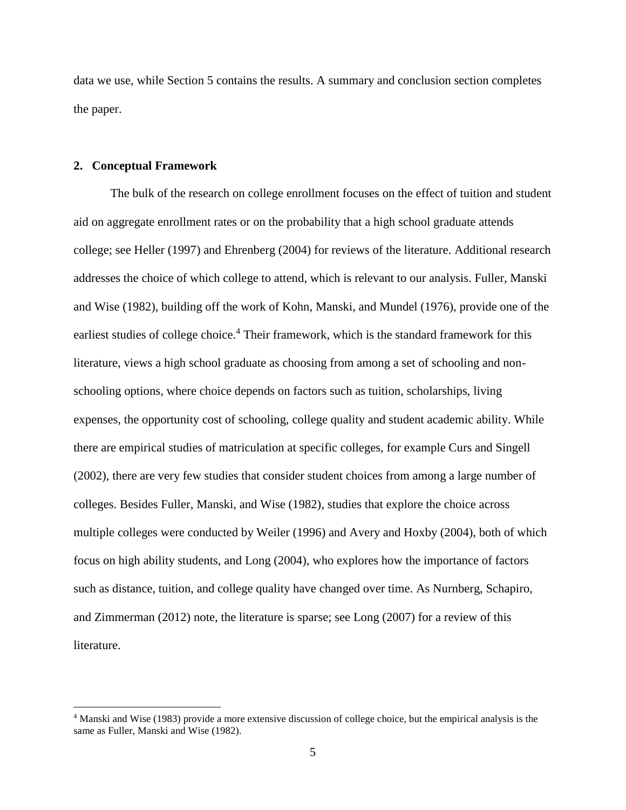data we use, while Section 5 contains the results. A summary and conclusion section completes the paper.

#### **2. Conceptual Framework**

 $\overline{a}$ 

The bulk of the research on college enrollment focuses on the effect of tuition and student aid on aggregate enrollment rates or on the probability that a high school graduate attends college; see Heller (1997) and Ehrenberg (2004) for reviews of the literature. Additional research addresses the choice of which college to attend, which is relevant to our analysis. Fuller, Manski and Wise (1982), building off the work of Kohn, Manski, and Mundel (1976), provide one of the earliest studies of college choice.<sup>4</sup> Their framework, which is the standard framework for this literature, views a high school graduate as choosing from among a set of schooling and nonschooling options, where choice depends on factors such as tuition, scholarships, living expenses, the opportunity cost of schooling, college quality and student academic ability. While there are empirical studies of matriculation at specific colleges, for example Curs and Singell (2002), there are very few studies that consider student choices from among a large number of colleges. Besides Fuller, Manski, and Wise (1982), studies that explore the choice across multiple colleges were conducted by Weiler (1996) and Avery and Hoxby (2004), both of which focus on high ability students, and Long (2004), who explores how the importance of factors such as distance, tuition, and college quality have changed over time. As Nurnberg, Schapiro, and Zimmerman (2012) note, the literature is sparse; see Long (2007) for a review of this literature.

<sup>4</sup> Manski and Wise (1983) provide a more extensive discussion of college choice, but the empirical analysis is the same as Fuller, Manski and Wise (1982).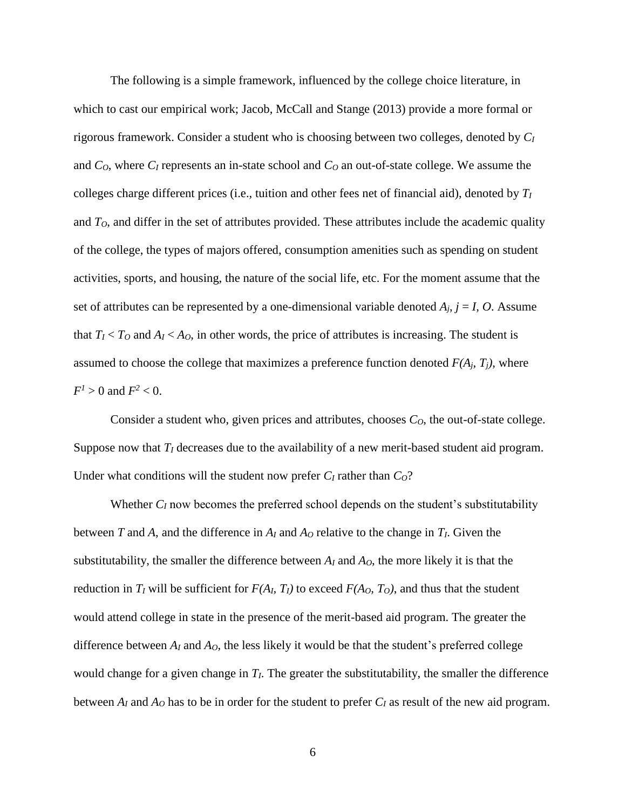The following is a simple framework, influenced by the college choice literature, in which to cast our empirical work; Jacob, McCall and Stange (2013) provide a more formal or rigorous framework. Consider a student who is choosing between two colleges, denoted by *C<sup>I</sup>* and *CO*, where *C<sup>I</sup>* represents an in-state school and *C<sup>O</sup>* an out-of-state college. We assume the colleges charge different prices (i.e., tuition and other fees net of financial aid), denoted by *T<sup>I</sup>* and *TO*, and differ in the set of attributes provided. These attributes include the academic quality of the college, the types of majors offered, consumption amenities such as spending on student activities, sports, and housing, the nature of the social life, etc. For the moment assume that the set of attributes can be represented by a one-dimensional variable denoted  $A_i$ ,  $j = I$ , O. Assume that  $T_I < T_O$  and  $A_I < A_O$ , in other words, the price of attributes is increasing. The student is assumed to choose the college that maximizes a preference function denoted  $F(A_j, T_j)$ , where  $F^2 > 0$  and  $F^2 < 0$ .

Consider a student who, given prices and attributes, chooses *CO*, the out-of-state college. Suppose now that *T<sup>I</sup>* decreases due to the availability of a new merit-based student aid program. Under what conditions will the student now prefer *C<sup>I</sup>* rather than *CO*?

Whether  $C_I$  now becomes the preferred school depends on the student's substitutability between *T* and *A*, and the difference in  $A_I$  and  $A_O$  relative to the change in  $T_I$ . Given the substitutability, the smaller the difference between  $A_I$  and  $A_O$ , the more likely it is that the reduction in  $T_I$  will be sufficient for  $F(A_I, T_I)$  to exceed  $F(A_O, T_O)$ , and thus that the student would attend college in state in the presence of the merit-based aid program. The greater the difference between  $A_I$  and  $A_O$ , the less likely it would be that the student's preferred college would change for a given change in *TI*. The greater the substitutability, the smaller the difference between  $A_I$  and  $A_O$  has to be in order for the student to prefer  $C_I$  as result of the new aid program.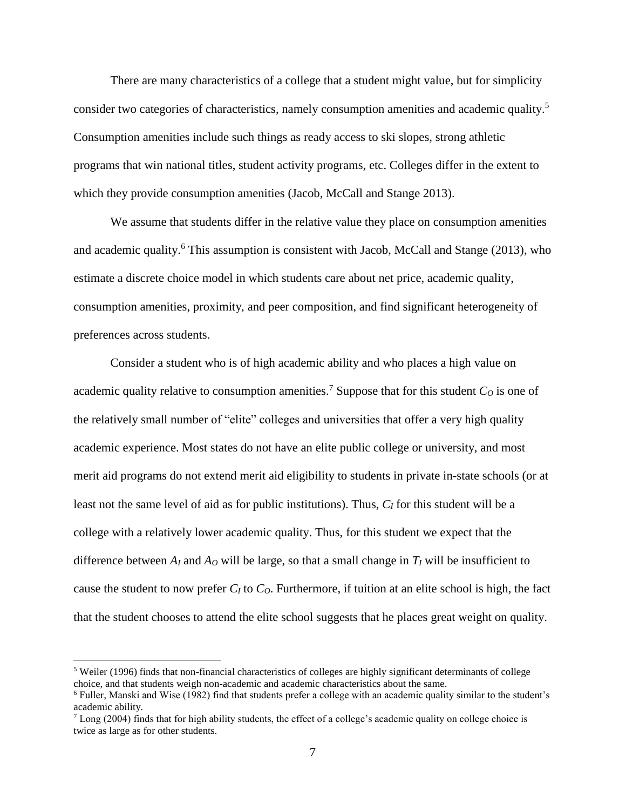There are many characteristics of a college that a student might value, but for simplicity consider two categories of characteristics, namely consumption amenities and academic quality. 5 Consumption amenities include such things as ready access to ski slopes, strong athletic programs that win national titles, student activity programs, etc. Colleges differ in the extent to which they provide consumption amenities (Jacob, McCall and Stange 2013).

We assume that students differ in the relative value they place on consumption amenities and academic quality.<sup>6</sup> This assumption is consistent with Jacob, McCall and Stange (2013), who estimate a discrete choice model in which students care about net price, academic quality, consumption amenities, proximity, and peer composition, and find significant heterogeneity of preferences across students.

Consider a student who is of high academic ability and who places a high value on academic quality relative to consumption amenities.<sup>7</sup> Suppose that for this student  $C<sub>Q</sub>$  is one of the relatively small number of "elite" colleges and universities that offer a very high quality academic experience. Most states do not have an elite public college or university, and most merit aid programs do not extend merit aid eligibility to students in private in-state schools (or at least not the same level of aid as for public institutions). Thus, *C<sup>I</sup>* for this student will be a college with a relatively lower academic quality. Thus, for this student we expect that the difference between  $A_I$  and  $A_O$  will be large, so that a small change in  $T_I$  will be insufficient to cause the student to now prefer *C<sup>I</sup>* to *CO*. Furthermore, if tuition at an elite school is high, the fact that the student chooses to attend the elite school suggests that he places great weight on quality.

<sup>5</sup> Weiler (1996) finds that non-financial characteristics of colleges are highly significant determinants of college choice, and that students weigh non-academic and academic characteristics about the same.

<sup>6</sup> Fuller, Manski and Wise (1982) find that students prefer a college with an academic quality similar to the student's academic ability.

 $\frac{7}{2}$  Long (2004) finds that for high ability students, the effect of a college's academic quality on college choice is twice as large as for other students.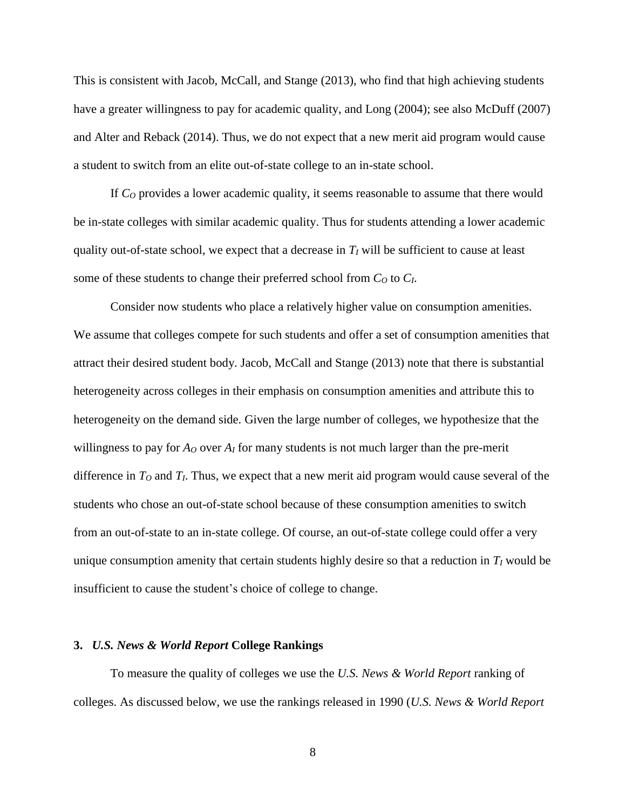This is consistent with Jacob, McCall, and Stange (2013), who find that high achieving students have a greater willingness to pay for academic quality, and Long (2004); see also McDuff (2007) and Alter and Reback (2014). Thus, we do not expect that a new merit aid program would cause a student to switch from an elite out-of-state college to an in-state school.

If *C<sup>O</sup>* provides a lower academic quality, it seems reasonable to assume that there would be in-state colleges with similar academic quality. Thus for students attending a lower academic quality out-of-state school, we expect that a decrease in  $T_I$  will be sufficient to cause at least some of these students to change their preferred school from  $C<sub>O</sub>$  to  $C<sub>I</sub>$ .

Consider now students who place a relatively higher value on consumption amenities. We assume that colleges compete for such students and offer a set of consumption amenities that attract their desired student body. Jacob, McCall and Stange (2013) note that there is substantial heterogeneity across colleges in their emphasis on consumption amenities and attribute this to heterogeneity on the demand side. Given the large number of colleges, we hypothesize that the willingness to pay for  $A_{\mathcal{O}}$  over  $A_{\mathcal{I}}$  for many students is not much larger than the pre-merit difference in *T<sup>O</sup>* and *TI*. Thus, we expect that a new merit aid program would cause several of the students who chose an out-of-state school because of these consumption amenities to switch from an out-of-state to an in-state college. Of course, an out-of-state college could offer a very unique consumption amenity that certain students highly desire so that a reduction in *T<sup>I</sup>* would be insufficient to cause the student's choice of college to change.

#### **3.** *U.S. News & World Report* **College Rankings**

To measure the quality of colleges we use the *U.S. News & World Report* ranking of colleges. As discussed below, we use the rankings released in 1990 (*U.S. News & World Report*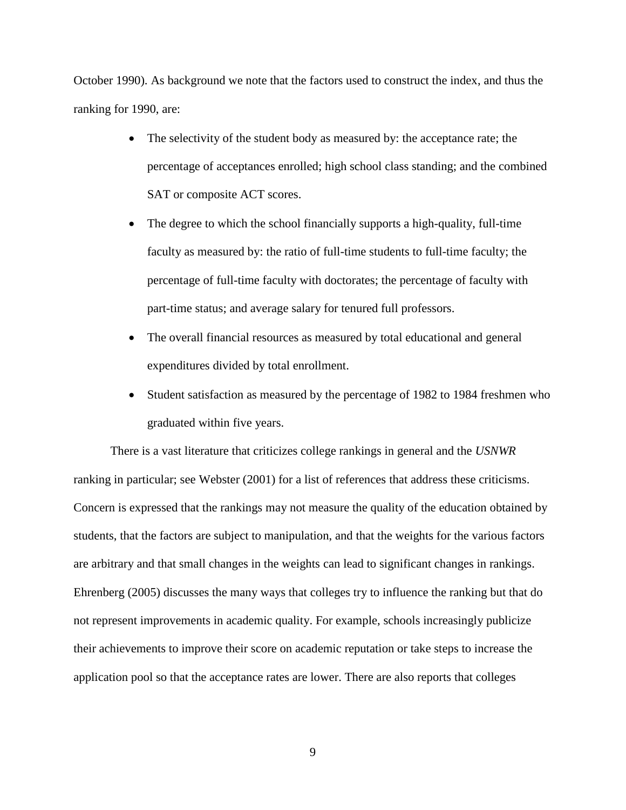October 1990). As background we note that the factors used to construct the index, and thus the ranking for 1990, are:

- The selectivity of the student body as measured by: the acceptance rate; the percentage of acceptances enrolled; high school class standing; and the combined SAT or composite ACT scores.
- The degree to which the school financially supports a high-quality, full-time faculty as measured by: the ratio of full-time students to full-time faculty; the percentage of full-time faculty with doctorates; the percentage of faculty with part-time status; and average salary for tenured full professors.
- The overall financial resources as measured by total educational and general expenditures divided by total enrollment.
- Student satisfaction as measured by the percentage of 1982 to 1984 freshmen who graduated within five years.

There is a vast literature that criticizes college rankings in general and the *USNWR* ranking in particular; see Webster (2001) for a list of references that address these criticisms. Concern is expressed that the rankings may not measure the quality of the education obtained by students, that the factors are subject to manipulation, and that the weights for the various factors are arbitrary and that small changes in the weights can lead to significant changes in rankings. Ehrenberg (2005) discusses the many ways that colleges try to influence the ranking but that do not represent improvements in academic quality. For example, schools increasingly publicize their achievements to improve their score on academic reputation or take steps to increase the application pool so that the acceptance rates are lower. There are also reports that colleges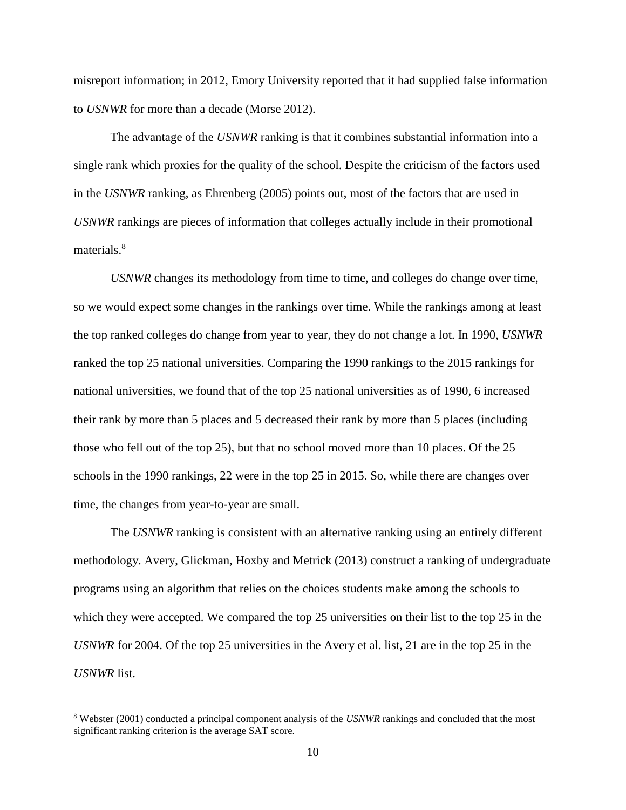misreport information; in 2012, Emory University reported that it had supplied false information to *USNWR* for more than a decade (Morse 2012).

The advantage of the *USNWR* ranking is that it combines substantial information into a single rank which proxies for the quality of the school. Despite the criticism of the factors used in the *USNWR* ranking, as Ehrenberg (2005) points out, most of the factors that are used in *USNWR* rankings are pieces of information that colleges actually include in their promotional materials.<sup>8</sup>

*USNWR* changes its methodology from time to time, and colleges do change over time, so we would expect some changes in the rankings over time. While the rankings among at least the top ranked colleges do change from year to year, they do not change a lot. In 1990, *USNWR* ranked the top 25 national universities. Comparing the 1990 rankings to the 2015 rankings for national universities, we found that of the top 25 national universities as of 1990, 6 increased their rank by more than 5 places and 5 decreased their rank by more than 5 places (including those who fell out of the top 25), but that no school moved more than 10 places. Of the 25 schools in the 1990 rankings, 22 were in the top 25 in 2015. So, while there are changes over time, the changes from year-to-year are small.

The *USNWR* ranking is consistent with an alternative ranking using an entirely different methodology. Avery, Glickman, Hoxby and Metrick (2013) construct a ranking of undergraduate programs using an algorithm that relies on the choices students make among the schools to which they were accepted. We compared the top 25 universities on their list to the top 25 in the *USNWR* for 2004. Of the top 25 universities in the Avery et al. list, 21 are in the top 25 in the *USNWR* list.

<sup>8</sup> Webster (2001) conducted a principal component analysis of the *USNWR* rankings and concluded that the most significant ranking criterion is the average SAT score.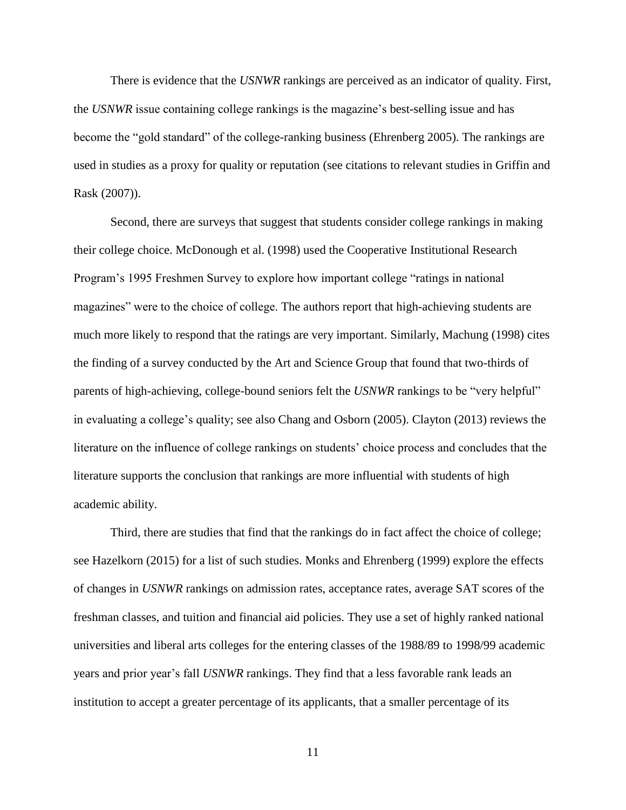There is evidence that the *USNWR* rankings are perceived as an indicator of quality. First, the *USNWR* issue containing college rankings is the magazine's best-selling issue and has become the "gold standard" of the college-ranking business (Ehrenberg 2005). The rankings are used in studies as a proxy for quality or reputation (see citations to relevant studies in Griffin and Rask (2007)).

Second, there are surveys that suggest that students consider college rankings in making their college choice. McDonough et al. (1998) used the Cooperative Institutional Research Program's 1995 Freshmen Survey to explore how important college "ratings in national magazines" were to the choice of college. The authors report that high-achieving students are much more likely to respond that the ratings are very important. Similarly, Machung (1998) cites the finding of a survey conducted by the Art and Science Group that found that two-thirds of parents of high-achieving, college-bound seniors felt the *USNWR* rankings to be "very helpful" in evaluating a college's quality; see also Chang and Osborn (2005). Clayton (2013) reviews the literature on the influence of college rankings on students' choice process and concludes that the literature supports the conclusion that rankings are more influential with students of high academic ability.

Third, there are studies that find that the rankings do in fact affect the choice of college; see Hazelkorn (2015) for a list of such studies. Monks and Ehrenberg (1999) explore the effects of changes in *USNWR* rankings on admission rates, acceptance rates, average SAT scores of the freshman classes, and tuition and financial aid policies. They use a set of highly ranked national universities and liberal arts colleges for the entering classes of the 1988/89 to 1998/99 academic years and prior year's fall *USNWR* rankings. They find that a less favorable rank leads an institution to accept a greater percentage of its applicants, that a smaller percentage of its

11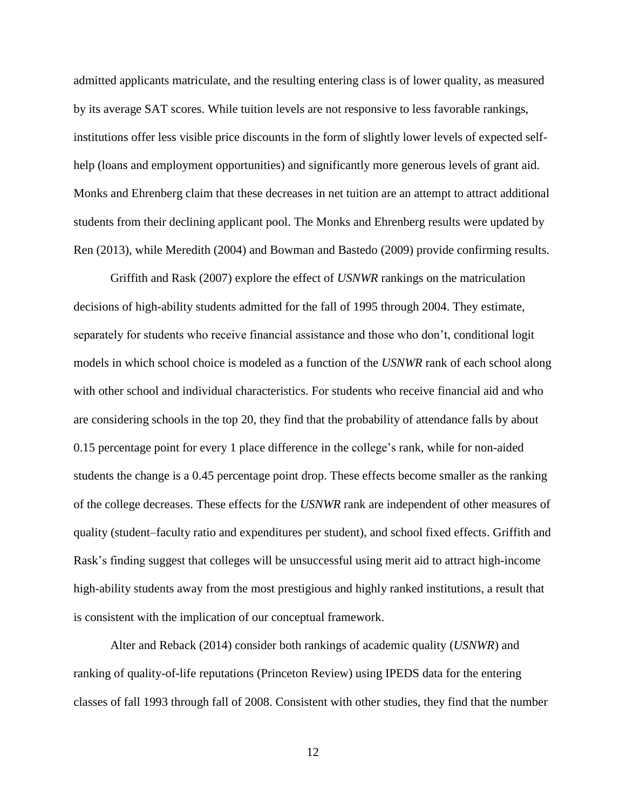admitted applicants matriculate, and the resulting entering class is of lower quality, as measured by its average SAT scores. While tuition levels are not responsive to less favorable rankings, institutions offer less visible price discounts in the form of slightly lower levels of expected selfhelp (loans and employment opportunities) and significantly more generous levels of grant aid. Monks and Ehrenberg claim that these decreases in net tuition are an attempt to attract additional students from their declining applicant pool. The Monks and Ehrenberg results were updated by Ren (2013), while Meredith (2004) and Bowman and Bastedo (2009) provide confirming results.

Griffith and Rask (2007) explore the effect of *USNWR* rankings on the matriculation decisions of high-ability students admitted for the fall of 1995 through 2004. They estimate, separately for students who receive financial assistance and those who don't, conditional logit models in which school choice is modeled as a function of the *USNWR* rank of each school along with other school and individual characteristics. For students who receive financial aid and who are considering schools in the top 20, they find that the probability of attendance falls by about 0.15 percentage point for every 1 place difference in the college's rank, while for non-aided students the change is a 0.45 percentage point drop. These effects become smaller as the ranking of the college decreases. These effects for the *USNWR* rank are independent of other measures of quality (student–faculty ratio and expenditures per student), and school fixed effects. Griffith and Rask's finding suggest that colleges will be unsuccessful using merit aid to attract high-income high-ability students away from the most prestigious and highly ranked institutions, a result that is consistent with the implication of our conceptual framework.

Alter and Reback (2014) consider both rankings of academic quality (*USNWR*) and ranking of quality-of-life reputations (Princeton Review) using IPEDS data for the entering classes of fall 1993 through fall of 2008. Consistent with other studies, they find that the number

12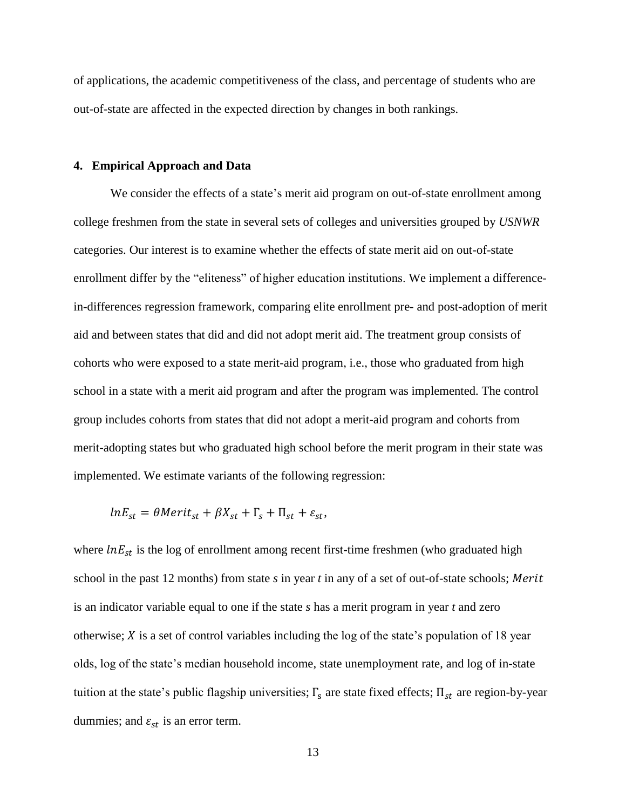of applications, the academic competitiveness of the class, and percentage of students who are out-of-state are affected in the expected direction by changes in both rankings.

#### **4. Empirical Approach and Data**

We consider the effects of a state's merit aid program on out-of-state enrollment among college freshmen from the state in several sets of colleges and universities grouped by *USNWR* categories. Our interest is to examine whether the effects of state merit aid on out-of-state enrollment differ by the "eliteness" of higher education institutions. We implement a differencein-differences regression framework, comparing elite enrollment pre- and post-adoption of merit aid and between states that did and did not adopt merit aid. The treatment group consists of cohorts who were exposed to a state merit-aid program, i.e., those who graduated from high school in a state with a merit aid program and after the program was implemented. The control group includes cohorts from states that did not adopt a merit-aid program and cohorts from merit-adopting states but who graduated high school before the merit program in their state was implemented. We estimate variants of the following regression:

$$
lnE_{st} = \theta Merit_{st} + \beta X_{st} + \Gamma_s + \Pi_{st} + \varepsilon_{st},
$$

where  $lnE_{st}$  is the log of enrollment among recent first-time freshmen (who graduated high school in the past 12 months) from state *s* in year *t* in any of a set of out-of-state schools; Merit is an indicator variable equal to one if the state *s* has a merit program in year *t* and zero otherwise;  $X$  is a set of control variables including the log of the state's population of 18 year olds, log of the state's median household income, state unemployment rate, and log of in-state tuition at the state's public flagship universities;  $\Gamma_s$  are state fixed effects;  $\Pi_{st}$  are region-by-year dummies; and  $\varepsilon_{st}$  is an error term.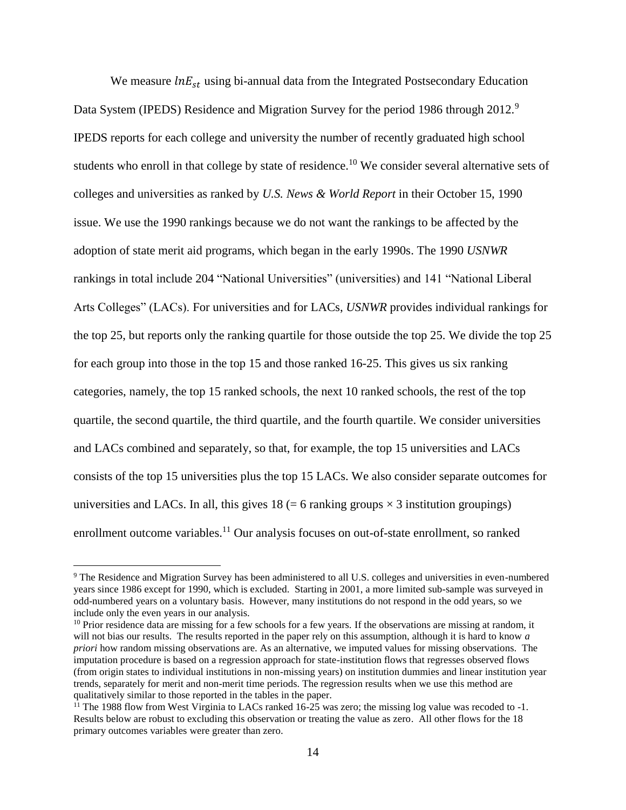We measure  $lnE_{st}$  using bi-annual data from the Integrated Postsecondary Education Data System (IPEDS) Residence and Migration Survey for the period 1986 through 2012.<sup>9</sup> IPEDS reports for each college and university the number of recently graduated high school students who enroll in that college by state of residence.<sup>10</sup> We consider several alternative sets of colleges and universities as ranked by *U.S. News & World Report* in their October 15, 1990 issue. We use the 1990 rankings because we do not want the rankings to be affected by the adoption of state merit aid programs, which began in the early 1990s. The 1990 *USNWR* rankings in total include 204 "National Universities" (universities) and 141 "National Liberal Arts Colleges" (LACs). For universities and for LACs, *USNWR* provides individual rankings for the top 25, but reports only the ranking quartile for those outside the top 25. We divide the top 25 for each group into those in the top 15 and those ranked 16-25. This gives us six ranking categories, namely, the top 15 ranked schools, the next 10 ranked schools, the rest of the top quartile, the second quartile, the third quartile, and the fourth quartile. We consider universities and LACs combined and separately, so that, for example, the top 15 universities and LACs consists of the top 15 universities plus the top 15 LACs. We also consider separate outcomes for universities and LACs. In all, this gives  $18 (= 6 \text{ ranking groups} \times 3 \text{ institution groupings})$ enrollment outcome variables.<sup>11</sup> Our analysis focuses on out-of-state enrollment, so ranked

<sup>&</sup>lt;sup>9</sup> The Residence and Migration Survey has been administered to all U.S. colleges and universities in even-numbered years since 1986 except for 1990, which is excluded. Starting in 2001, a more limited sub-sample was surveyed in odd-numbered years on a voluntary basis. However, many institutions do not respond in the odd years, so we include only the even years in our analysis.

<sup>&</sup>lt;sup>10</sup> Prior residence data are missing for a few schools for a few years. If the observations are missing at random, it will not bias our results. The results reported in the paper rely on this assumption, although it is hard to know *a priori* how random missing observations are. As an alternative, we imputed values for missing observations. The imputation procedure is based on a regression approach for state-institution flows that regresses observed flows (from origin states to individual institutions in non-missing years) on institution dummies and linear institution year trends, separately for merit and non-merit time periods. The regression results when we use this method are qualitatively similar to those reported in the tables in the paper.

<sup>&</sup>lt;sup>11</sup> The 1988 flow from West Virginia to LACs ranked 16-25 was zero; the missing log value was recoded to  $-1$ . Results below are robust to excluding this observation or treating the value as zero. All other flows for the 18 primary outcomes variables were greater than zero.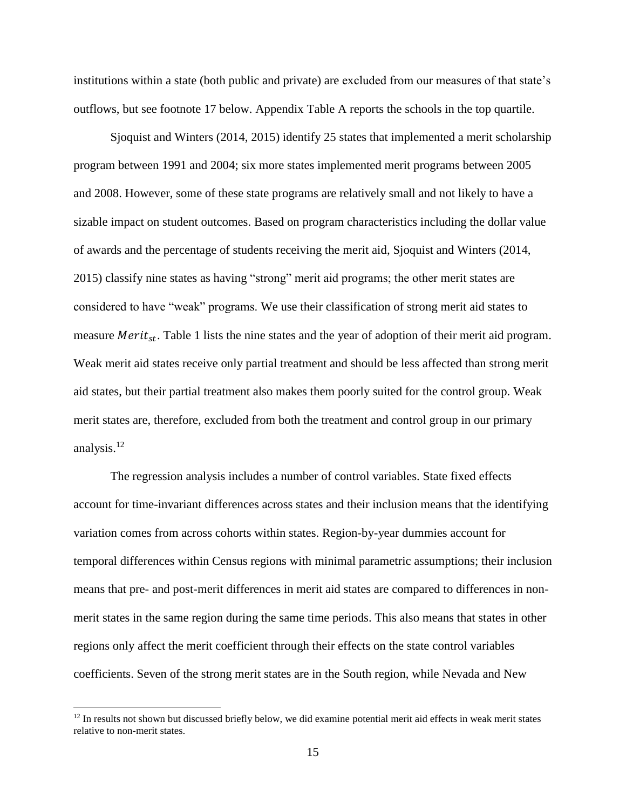institutions within a state (both public and private) are excluded from our measures of that state's outflows, but see footnote 17 below. Appendix Table A reports the schools in the top quartile.

Sjoquist and Winters (2014, 2015) identify 25 states that implemented a merit scholarship program between 1991 and 2004; six more states implemented merit programs between 2005 and 2008. However, some of these state programs are relatively small and not likely to have a sizable impact on student outcomes. Based on program characteristics including the dollar value of awards and the percentage of students receiving the merit aid, Sjoquist and Winters (2014, 2015) classify nine states as having "strong" merit aid programs; the other merit states are considered to have "weak" programs. We use their classification of strong merit aid states to measure *Merit<sub>st</sub>*. Table 1 lists the nine states and the year of adoption of their merit aid program. Weak merit aid states receive only partial treatment and should be less affected than strong merit aid states, but their partial treatment also makes them poorly suited for the control group. Weak merit states are, therefore, excluded from both the treatment and control group in our primary analysis. 12

The regression analysis includes a number of control variables. State fixed effects account for time-invariant differences across states and their inclusion means that the identifying variation comes from across cohorts within states. Region-by-year dummies account for temporal differences within Census regions with minimal parametric assumptions; their inclusion means that pre- and post-merit differences in merit aid states are compared to differences in nonmerit states in the same region during the same time periods. This also means that states in other regions only affect the merit coefficient through their effects on the state control variables coefficients. Seven of the strong merit states are in the South region, while Nevada and New

 $12$  In results not shown but discussed briefly below, we did examine potential merit aid effects in weak merit states relative to non-merit states.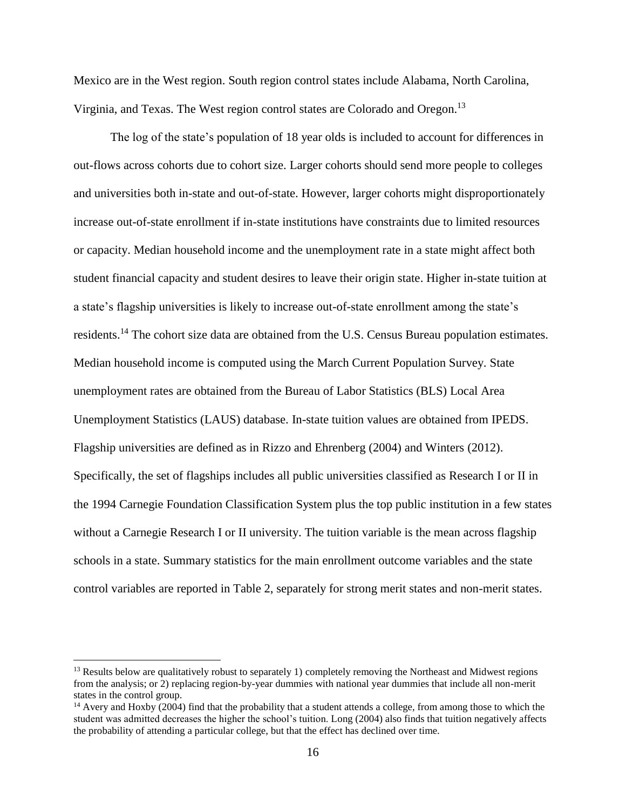Mexico are in the West region. South region control states include Alabama, North Carolina, Virginia, and Texas. The West region control states are Colorado and Oregon.<sup>13</sup>

The log of the state's population of 18 year olds is included to account for differences in out-flows across cohorts due to cohort size. Larger cohorts should send more people to colleges and universities both in-state and out-of-state. However, larger cohorts might disproportionately increase out-of-state enrollment if in-state institutions have constraints due to limited resources or capacity. Median household income and the unemployment rate in a state might affect both student financial capacity and student desires to leave their origin state. Higher in-state tuition at a state's flagship universities is likely to increase out-of-state enrollment among the state's residents.<sup>14</sup> The cohort size data are obtained from the U.S. Census Bureau population estimates. Median household income is computed using the March Current Population Survey. State unemployment rates are obtained from the Bureau of Labor Statistics (BLS) Local Area Unemployment Statistics (LAUS) database. In-state tuition values are obtained from IPEDS. Flagship universities are defined as in Rizzo and Ehrenberg (2004) and Winters (2012). Specifically, the set of flagships includes all public universities classified as Research I or II in the 1994 Carnegie Foundation Classification System plus the top public institution in a few states without a Carnegie Research I or II university. The tuition variable is the mean across flagship schools in a state. Summary statistics for the main enrollment outcome variables and the state control variables are reported in Table 2, separately for strong merit states and non-merit states.

<sup>&</sup>lt;sup>13</sup> Results below are qualitatively robust to separately 1) completely removing the Northeast and Midwest regions from the analysis; or 2) replacing region-by-year dummies with national year dummies that include all non-merit states in the control group.

<sup>&</sup>lt;sup>14</sup> Avery and Hoxby (2004) find that the probability that a student attends a college, from among those to which the student was admitted decreases the higher the school's tuition. Long (2004) also finds that tuition negatively affects the probability of attending a particular college, but that the effect has declined over time.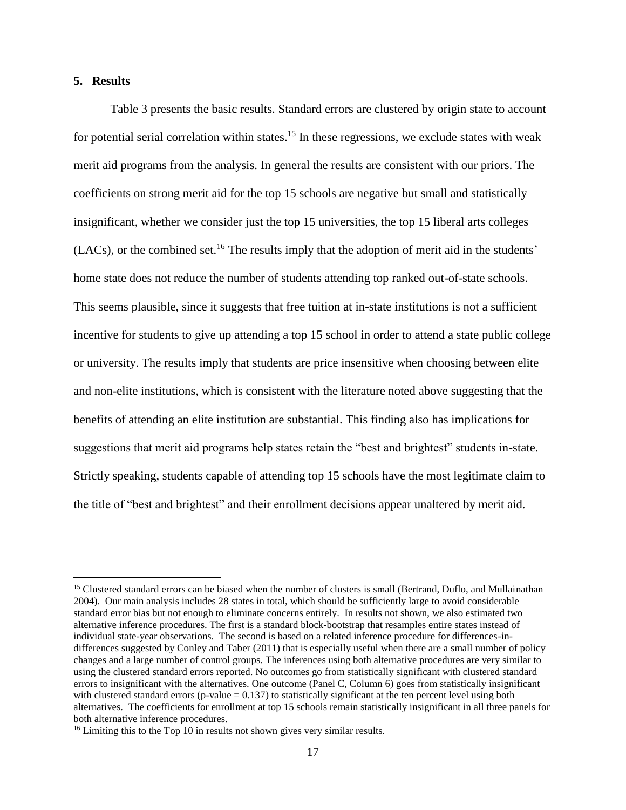#### **5. Results**

 $\overline{a}$ 

Table 3 presents the basic results. Standard errors are clustered by origin state to account for potential serial correlation within states.<sup>15</sup> In these regressions, we exclude states with weak merit aid programs from the analysis. In general the results are consistent with our priors. The coefficients on strong merit aid for the top 15 schools are negative but small and statistically insignificant, whether we consider just the top 15 universities, the top 15 liberal arts colleges  $(LACs)$ , or the combined set.<sup>16</sup> The results imply that the adoption of merit aid in the students' home state does not reduce the number of students attending top ranked out-of-state schools. This seems plausible, since it suggests that free tuition at in-state institutions is not a sufficient incentive for students to give up attending a top 15 school in order to attend a state public college or university. The results imply that students are price insensitive when choosing between elite and non-elite institutions, which is consistent with the literature noted above suggesting that the benefits of attending an elite institution are substantial. This finding also has implications for suggestions that merit aid programs help states retain the "best and brightest" students in-state. Strictly speaking, students capable of attending top 15 schools have the most legitimate claim to the title of "best and brightest" and their enrollment decisions appear unaltered by merit aid.

<sup>&</sup>lt;sup>15</sup> Clustered standard errors can be biased when the number of clusters is small (Bertrand, Duflo, and Mullainathan 2004). Our main analysis includes 28 states in total, which should be sufficiently large to avoid considerable standard error bias but not enough to eliminate concerns entirely. In results not shown, we also estimated two alternative inference procedures. The first is a standard block-bootstrap that resamples entire states instead of individual state-year observations. The second is based on a related inference procedure for differences-indifferences suggested by Conley and Taber (2011) that is especially useful when there are a small number of policy changes and a large number of control groups. The inferences using both alternative procedures are very similar to using the clustered standard errors reported. No outcomes go from statistically significant with clustered standard errors to insignificant with the alternatives. One outcome (Panel C, Column 6) goes from statistically insignificant with clustered standard errors (p-value  $= 0.137$ ) to statistically significant at the ten percent level using both alternatives. The coefficients for enrollment at top 15 schools remain statistically insignificant in all three panels for both alternative inference procedures.

<sup>&</sup>lt;sup>16</sup> Limiting this to the Top 10 in results not shown gives very similar results.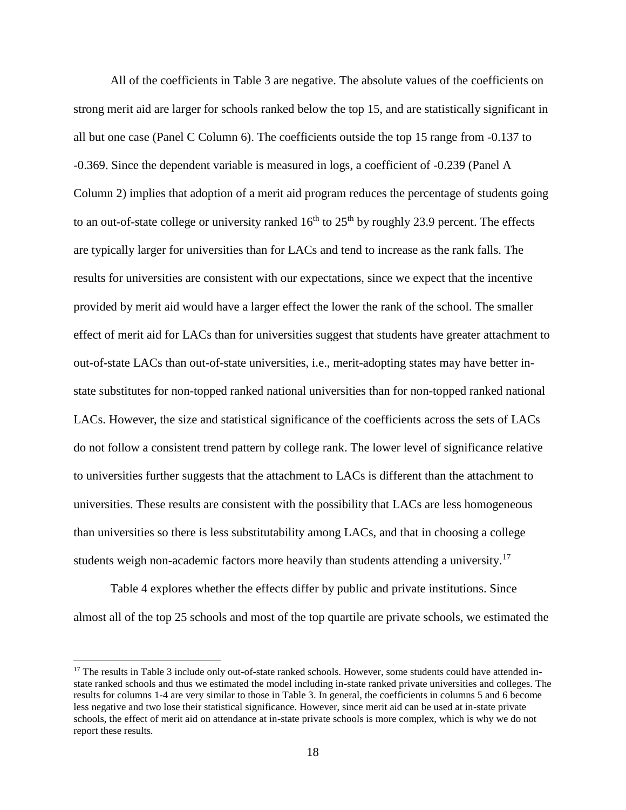All of the coefficients in Table 3 are negative. The absolute values of the coefficients on strong merit aid are larger for schools ranked below the top 15, and are statistically significant in all but one case (Panel C Column 6). The coefficients outside the top 15 range from -0.137 to -0.369. Since the dependent variable is measured in logs, a coefficient of -0.239 (Panel A Column 2) implies that adoption of a merit aid program reduces the percentage of students going to an out-of-state college or university ranked  $16<sup>th</sup>$  to  $25<sup>th</sup>$  by roughly 23.9 percent. The effects are typically larger for universities than for LACs and tend to increase as the rank falls. The results for universities are consistent with our expectations, since we expect that the incentive provided by merit aid would have a larger effect the lower the rank of the school. The smaller effect of merit aid for LACs than for universities suggest that students have greater attachment to out-of-state LACs than out-of-state universities, i.e., merit-adopting states may have better instate substitutes for non-topped ranked national universities than for non-topped ranked national LACs. However, the size and statistical significance of the coefficients across the sets of LACs do not follow a consistent trend pattern by college rank. The lower level of significance relative to universities further suggests that the attachment to LACs is different than the attachment to universities. These results are consistent with the possibility that LACs are less homogeneous than universities so there is less substitutability among LACs, and that in choosing a college students weigh non-academic factors more heavily than students attending a university.<sup>17</sup>

Table 4 explores whether the effects differ by public and private institutions. Since almost all of the top 25 schools and most of the top quartile are private schools, we estimated the

<sup>&</sup>lt;sup>17</sup> The results in Table 3 include only out-of-state ranked schools. However, some students could have attended instate ranked schools and thus we estimated the model including in-state ranked private universities and colleges. The results for columns 1-4 are very similar to those in Table 3. In general, the coefficients in columns 5 and 6 become less negative and two lose their statistical significance. However, since merit aid can be used at in-state private schools, the effect of merit aid on attendance at in-state private schools is more complex, which is why we do not report these results.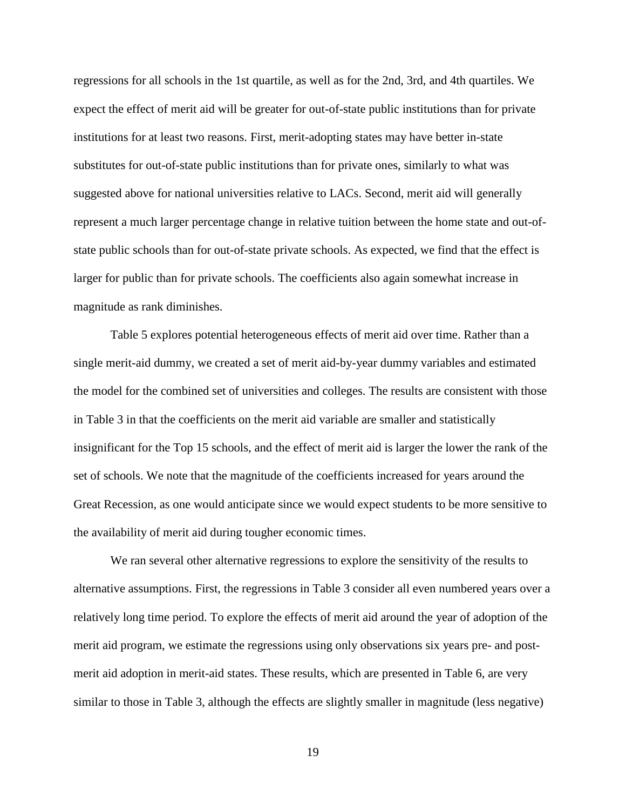regressions for all schools in the 1st quartile, as well as for the 2nd, 3rd, and 4th quartiles. We expect the effect of merit aid will be greater for out-of-state public institutions than for private institutions for at least two reasons. First, merit-adopting states may have better in-state substitutes for out-of-state public institutions than for private ones, similarly to what was suggested above for national universities relative to LACs. Second, merit aid will generally represent a much larger percentage change in relative tuition between the home state and out-ofstate public schools than for out-of-state private schools. As expected, we find that the effect is larger for public than for private schools. The coefficients also again somewhat increase in magnitude as rank diminishes.

Table 5 explores potential heterogeneous effects of merit aid over time. Rather than a single merit-aid dummy, we created a set of merit aid-by-year dummy variables and estimated the model for the combined set of universities and colleges. The results are consistent with those in Table 3 in that the coefficients on the merit aid variable are smaller and statistically insignificant for the Top 15 schools, and the effect of merit aid is larger the lower the rank of the set of schools. We note that the magnitude of the coefficients increased for years around the Great Recession, as one would anticipate since we would expect students to be more sensitive to the availability of merit aid during tougher economic times.

We ran several other alternative regressions to explore the sensitivity of the results to alternative assumptions. First, the regressions in Table 3 consider all even numbered years over a relatively long time period. To explore the effects of merit aid around the year of adoption of the merit aid program, we estimate the regressions using only observations six years pre- and postmerit aid adoption in merit-aid states. These results, which are presented in Table 6, are very similar to those in Table 3, although the effects are slightly smaller in magnitude (less negative)

19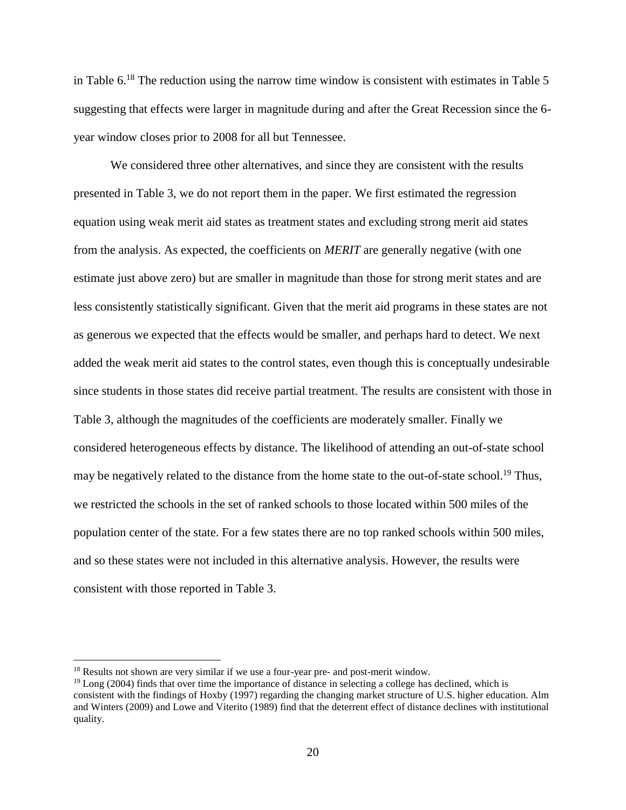in Table 6.<sup>18</sup> The reduction using the narrow time window is consistent with estimates in Table 5 suggesting that effects were larger in magnitude during and after the Great Recession since the 6 year window closes prior to 2008 for all but Tennessee.

We considered three other alternatives, and since they are consistent with the results presented in Table 3, we do not report them in the paper. We first estimated the regression equation using weak merit aid states as treatment states and excluding strong merit aid states from the analysis. As expected, the coefficients on *MERIT* are generally negative (with one estimate just above zero) but are smaller in magnitude than those for strong merit states and are less consistently statistically significant. Given that the merit aid programs in these states are not as generous we expected that the effects would be smaller, and perhaps hard to detect. We next added the weak merit aid states to the control states, even though this is conceptually undesirable since students in those states did receive partial treatment. The results are consistent with those in Table 3, although the magnitudes of the coefficients are moderately smaller. Finally we considered heterogeneous effects by distance. The likelihood of attending an out-of-state school may be negatively related to the distance from the home state to the out-of-state school.<sup>19</sup> Thus, we restricted the schools in the set of ranked schools to those located within 500 miles of the population center of the state. For a few states there are no top ranked schools within 500 miles, and so these states were not included in this alternative analysis. However, the results were consistent with those reported in Table 3.

<sup>&</sup>lt;sup>18</sup> Results not shown are very similar if we use a four-year pre- and post-merit window.

 $19$  Long (2004) finds that over time the importance of distance in selecting a college has declined, which is consistent with the findings of Hoxby (1997) regarding the changing market structure of U.S. higher education. Alm and Winters (2009) and Lowe and Viterito (1989) find that the deterrent effect of distance declines with institutional quality.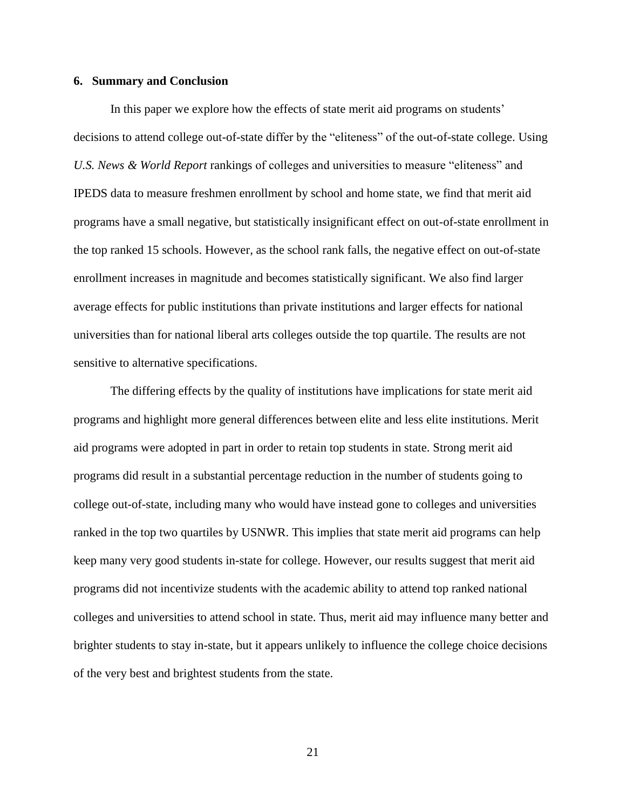#### **6. Summary and Conclusion**

In this paper we explore how the effects of state merit aid programs on students' decisions to attend college out-of-state differ by the "eliteness" of the out-of-state college. Using *U.S. News & World Report* rankings of colleges and universities to measure "eliteness" and IPEDS data to measure freshmen enrollment by school and home state, we find that merit aid programs have a small negative, but statistically insignificant effect on out-of-state enrollment in the top ranked 15 schools. However, as the school rank falls, the negative effect on out-of-state enrollment increases in magnitude and becomes statistically significant. We also find larger average effects for public institutions than private institutions and larger effects for national universities than for national liberal arts colleges outside the top quartile. The results are not sensitive to alternative specifications.

The differing effects by the quality of institutions have implications for state merit aid programs and highlight more general differences between elite and less elite institutions. Merit aid programs were adopted in part in order to retain top students in state. Strong merit aid programs did result in a substantial percentage reduction in the number of students going to college out-of-state, including many who would have instead gone to colleges and universities ranked in the top two quartiles by USNWR. This implies that state merit aid programs can help keep many very good students in-state for college. However, our results suggest that merit aid programs did not incentivize students with the academic ability to attend top ranked national colleges and universities to attend school in state. Thus, merit aid may influence many better and brighter students to stay in-state, but it appears unlikely to influence the college choice decisions of the very best and brightest students from the state.

21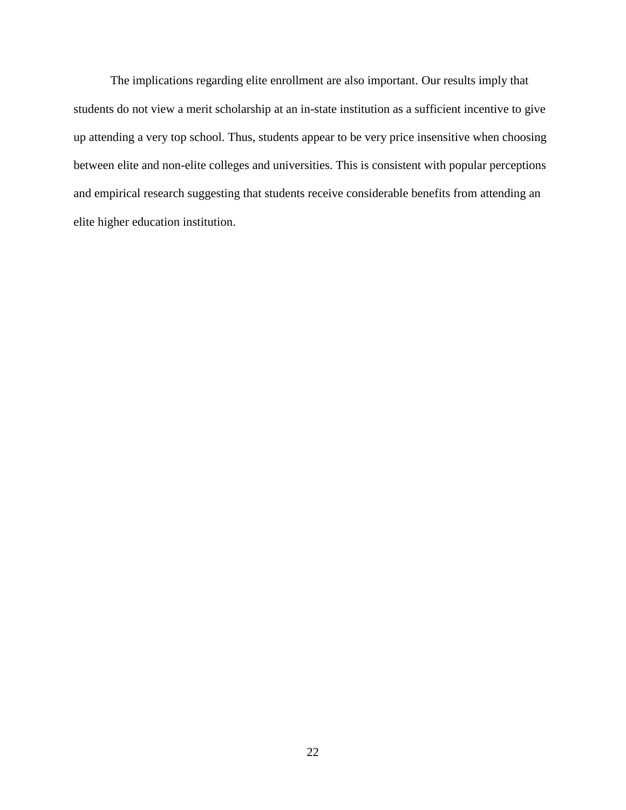The implications regarding elite enrollment are also important. Our results imply that students do not view a merit scholarship at an in-state institution as a sufficient incentive to give up attending a very top school. Thus, students appear to be very price insensitive when choosing between elite and non-elite colleges and universities. This is consistent with popular perceptions and empirical research suggesting that students receive considerable benefits from attending an elite higher education institution.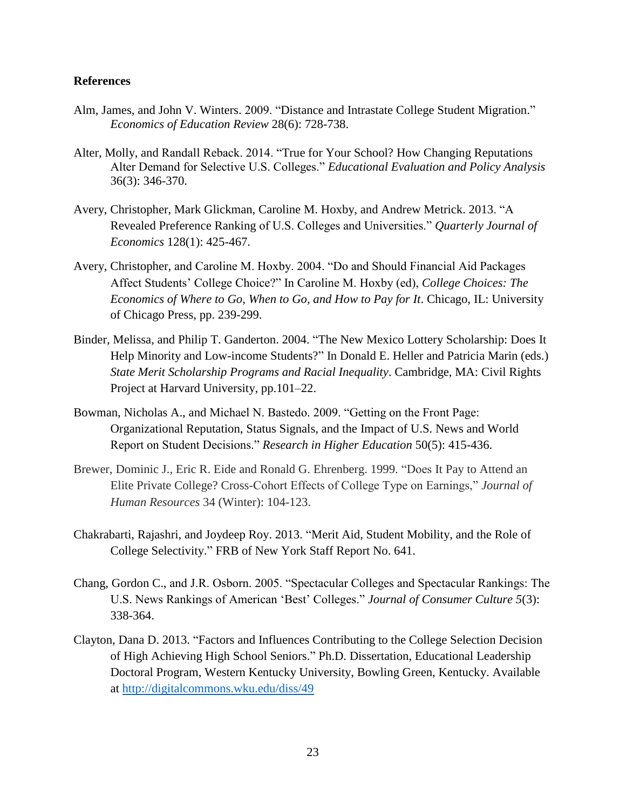#### **References**

- Alm, James, and John V. Winters. 2009. "Distance and Intrastate College Student Migration." *Economics of Education Review* 28(6): 728-738.
- Alter, Molly, and Randall Reback. 2014. "True for Your School? How Changing Reputations Alter Demand for Selective U.S. Colleges." *Educational Evaluation and Policy Analysis*  36(3): 346-370.
- Avery, Christopher, Mark Glickman, Caroline M. Hoxby, and Andrew Metrick. 2013. "A Revealed Preference Ranking of U.S. Colleges and Universities." *Quarterly Journal of Economics* 128(1): 425-467.
- Avery, Christopher, and Caroline M. Hoxby. 2004. "Do and Should Financial Aid Packages Affect Students' College Choice?" In Caroline M. Hoxby (ed), *College Choices: The Economics of Where to Go, When to Go, and How to Pay for It*. Chicago, IL: University of Chicago Press, pp. 239-299.
- Binder, Melissa, and Philip T. Ganderton. 2004. "The New Mexico Lottery Scholarship: Does It Help Minority and Low-income Students?" In Donald E. Heller and Patricia Marin (eds.) *State Merit Scholarship Programs and Racial Inequality*. Cambridge, MA: Civil Rights Project at Harvard University, pp.101–22.
- Bowman, Nicholas A., and Michael N. Bastedo. 2009. "Getting on the Front Page: Organizational Reputation, Status Signals, and the Impact of U.S. News and World Report on Student Decisions." *Research in Higher Education* 50(5): 415-436.
- Brewer, Dominic J., Eric R. Eide and Ronald G. Ehrenberg. 1999. "Does It Pay to Attend an Elite Private College? Cross-Cohort Effects of College Type on Earnings," *Journal of Human Resources* 34 (Winter): 104-123.
- Chakrabarti, Rajashri, and Joydeep Roy. 2013. "Merit Aid, Student Mobility, and the Role of College Selectivity." FRB of New York Staff Report No. 641.
- Chang, Gordon C., and J.R. Osborn. 2005. "Spectacular Colleges and Spectacular Rankings: The U.S. News Rankings of American 'Best' Colleges." *Journal of Consumer Culture 5*(3): 338-364.
- Clayton, Dana D. 2013. "Factors and Influences Contributing to the College Selection Decision of High Achieving High School Seniors." Ph.D. Dissertation, Educational Leadership Doctoral Program, Western Kentucky University, Bowling Green, Kentucky. Available at<http://digitalcommons.wku.edu/diss/49>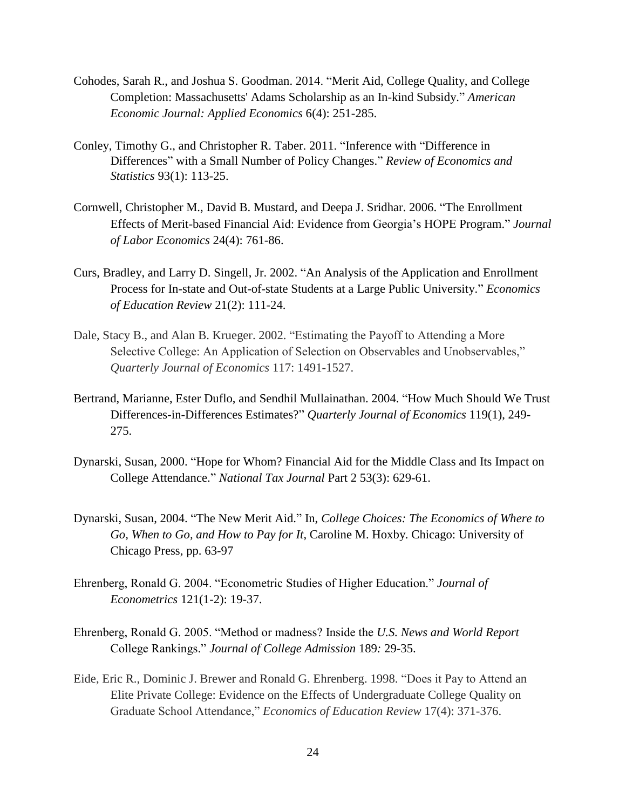- Cohodes, Sarah R., and Joshua S. Goodman. 2014. "Merit Aid, College Quality, and College Completion: Massachusetts' Adams Scholarship as an In-kind Subsidy." *American Economic Journal: Applied Economics* 6(4): 251-285.
- Conley, Timothy G., and Christopher R. Taber. 2011. "Inference with "Difference in Differences" with a Small Number of Policy Changes." *Review of Economics and Statistics* 93(1): 113-25.
- Cornwell, Christopher M., David B. Mustard, and Deepa J. Sridhar. 2006. "The Enrollment Effects of Merit-based Financial Aid: Evidence from Georgia's HOPE Program." *Journal of Labor Economics* 24(4): 761-86.
- Curs, Bradley, and Larry D. Singell, Jr. 2002. "An Analysis of the Application and Enrollment Process for In-state and Out-of-state Students at a Large Public University." *Economics of Education Review* 21(2): 111-24.
- Dale, Stacy B., and Alan B. Krueger. 2002. "Estimating the Payoff to Attending a More Selective College: An Application of Selection on Observables and Unobservables," *Quarterly Journal of Economics* 117: 1491-1527.
- Bertrand, Marianne, Ester Duflo, and Sendhil Mullainathan. 2004. "How Much Should We Trust Differences-in-Differences Estimates?" *Quarterly Journal of Economics* 119(1), 249- 275.
- Dynarski, Susan, 2000. "Hope for Whom? Financial Aid for the Middle Class and Its Impact on College Attendance." *National Tax Journal* Part 2 53(3): 629-61.
- Dynarski, Susan, 2004. "The New Merit Aid." In, *College Choices: The Economics of Where to Go, When to Go, and How to Pay for It*, Caroline M. Hoxby. Chicago: University of Chicago Press, pp. 63-97
- Ehrenberg, Ronald G. 2004. "Econometric Studies of Higher Education." *Journal of Econometrics* 121(1-2): 19-37.
- Ehrenberg, Ronald G. 2005. "Method or madness? Inside the *U.S. News and World Report*  College Rankings." *Journal of College Admission* 189*:* 29-35.
- Eide, Eric R., Dominic J. Brewer and Ronald G. Ehrenberg. 1998. "Does it Pay to Attend an Elite Private College: Evidence on the Effects of Undergraduate College Quality on Graduate School Attendance," *Economics of Education Review* 17(4): 371-376.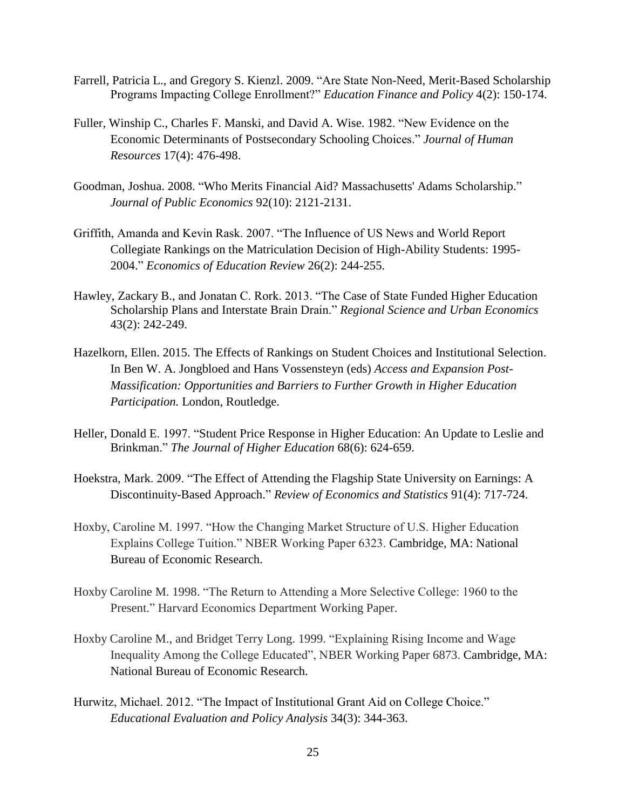- Farrell, Patricia L., and Gregory S. Kienzl. 2009. "Are State Non-Need, Merit-Based Scholarship Programs Impacting College Enrollment?" *Education Finance and Policy* 4(2): 150-174.
- Fuller, Winship C., Charles F. Manski, and David A. Wise. 1982. "New Evidence on the Economic Determinants of Postsecondary Schooling Choices." *Journal of Human Resources* 17(4): 476-498.
- Goodman, Joshua. 2008. "Who Merits Financial Aid? Massachusetts' Adams Scholarship." *Journal of Public Economics* 92(10): 2121-2131.
- Griffith, Amanda and Kevin Rask. 2007. "The Influence of US News and World Report Collegiate Rankings on the Matriculation Decision of High-Ability Students: 1995- 2004." *Economics of Education Review* 26(2): 244-255.
- Hawley, Zackary B., and Jonatan C. Rork. 2013. "The Case of State Funded Higher Education Scholarship Plans and Interstate Brain Drain." *Regional Science and Urban Economics* 43(2): 242-249.
- Hazelkorn, Ellen. 2015. The Effects of Rankings on Student Choices and Institutional Selection. In Ben W. A. Jongbloed and Hans Vossensteyn (eds) *Access and Expansion Post-Massification: Opportunities and Barriers to Further Growth in Higher Education Participation.* London, Routledge.
- Heller, Donald E. 1997. "Student Price Response in Higher Education: An Update to Leslie and Brinkman." *The Journal of Higher Education* 68(6): 624-659.
- Hoekstra, Mark. 2009. "The Effect of Attending the Flagship State University on Earnings: A Discontinuity-Based Approach." *Review of Economics and Statistics* 91(4): 717-724.
- Hoxby, Caroline M. 1997. "How the Changing Market Structure of U.S. Higher Education Explains College Tuition." NBER Working Paper 6323. Cambridge, MA: National Bureau of Economic Research.
- Hoxby Caroline M. 1998. "The Return to Attending a More Selective College: 1960 to the Present." Harvard Economics Department Working Paper.
- Hoxby Caroline M., and Bridget Terry Long. 1999. "Explaining Rising Income and Wage Inequality Among the College Educated", NBER Working Paper 6873. Cambridge, MA: National Bureau of Economic Research.
- Hurwitz, Michael. 2012. "The Impact of Institutional Grant Aid on College Choice." *Educational Evaluation and Policy Analysis* 34(3): 344-363.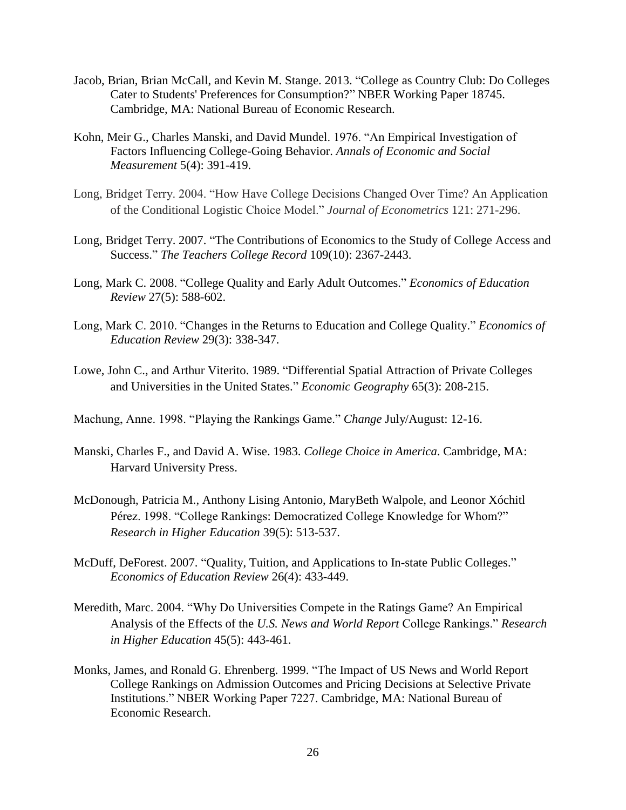- Jacob, Brian, Brian McCall, and Kevin M. Stange. 2013. "College as Country Club: Do Colleges Cater to Students' Preferences for Consumption?" NBER Working Paper 18745. Cambridge, MA: National Bureau of Economic Research.
- Kohn, Meir G., Charles Manski, and David Mundel. 1976. "An Empirical Investigation of Factors Influencing College-Going Behavior. *Annals of Economic and Social Measurement* 5(4): 391-419.
- Long, Bridget Terry. 2004. "How Have College Decisions Changed Over Time? An Application of the Conditional Logistic Choice Model." *Journal of Econometrics* 121: 271-296.
- Long, Bridget Terry. 2007. "The Contributions of Economics to the Study of College Access and Success." *The Teachers College Record* 109(10): 2367-2443.
- Long, Mark C. 2008. "College Quality and Early Adult Outcomes." *Economics of Education Review* 27(5): 588-602.
- Long, Mark C. 2010. "Changes in the Returns to Education and College Quality." *Economics of Education Review* 29(3): 338-347.
- Lowe, John C., and Arthur Viterito. 1989. "Differential Spatial Attraction of Private Colleges and Universities in the United States." *Economic Geography* 65(3): 208-215.
- Machung, Anne. 1998. "Playing the Rankings Game." *Change* July/August: 12-16.
- Manski, Charles F., and David A. Wise. 1983. *College Choice in America*. Cambridge, MA: Harvard University Press.
- McDonough, Patricia M., Anthony Lising Antonio, MaryBeth Walpole, and Leonor Xóchitl Pérez. 1998. "College Rankings: Democratized College Knowledge for Whom?" *Research in Higher Education* 39(5): 513-537.
- McDuff, DeForest. 2007. "Quality, Tuition, and Applications to In-state Public Colleges." *Economics of Education Review* 26(4): 433-449.
- Meredith, Marc. 2004. "Why Do Universities Compete in the Ratings Game? An Empirical Analysis of the Effects of the *U.S. News and World Report* College Rankings." *Research in Higher Education* 45(5): 443-461.
- Monks, James, and Ronald G. Ehrenberg. 1999. "The Impact of US News and World Report College Rankings on Admission Outcomes and Pricing Decisions at Selective Private Institutions." NBER Working Paper 7227. Cambridge, MA: National Bureau of Economic Research.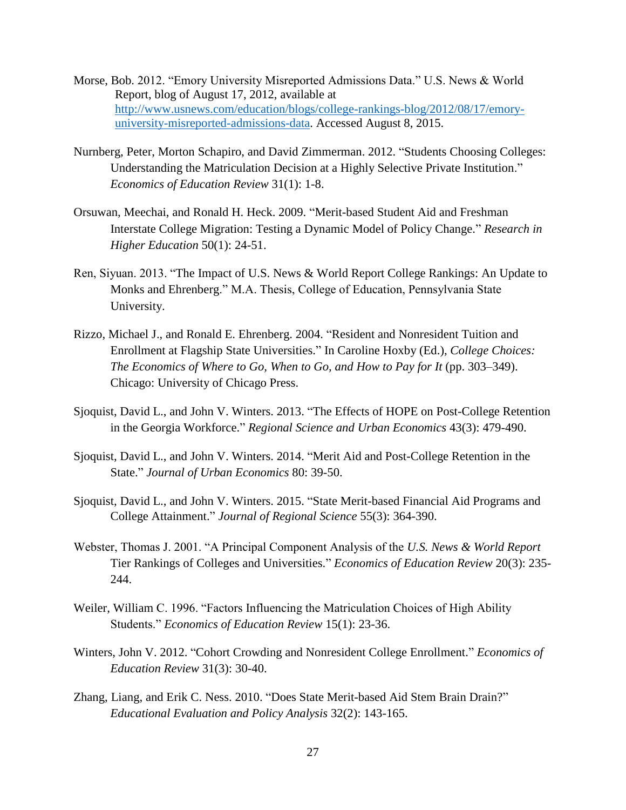- Morse, Bob. 2012. "Emory University Misreported Admissions Data." U.S. News & World Report, blog of August 17, 2012, available at [http://www.usnews.com/education/blogs/college-rankings-blog/2012/08/17/emory](http://www.usnews.com/education/blogs/college-rankings-blog/2012/08/17/emory-university-misreported-admissions-data)[university-misreported-admissions-data.](http://www.usnews.com/education/blogs/college-rankings-blog/2012/08/17/emory-university-misreported-admissions-data) Accessed August 8, 2015.
- Nurnberg, Peter, Morton Schapiro, and David Zimmerman. 2012. "Students Choosing Colleges: Understanding the Matriculation Decision at a Highly Selective Private Institution." *Economics of Education Review* 31(1): 1-8.
- Orsuwan, Meechai, and Ronald H. Heck. 2009. "Merit-based Student Aid and Freshman Interstate College Migration: Testing a Dynamic Model of Policy Change." *Research in Higher Education* 50(1): 24-51.
- Ren, Siyuan. 2013. "The Impact of U.S. News & World Report College Rankings: An Update to Monks and Ehrenberg." M.A. Thesis, College of Education, Pennsylvania State University.
- Rizzo, Michael J., and Ronald E. Ehrenberg. 2004. "Resident and Nonresident Tuition and Enrollment at Flagship State Universities." In Caroline Hoxby (Ed.), *College Choices: The Economics of Where to Go, When to Go, and How to Pay for It* (pp. 303–349). Chicago: University of Chicago Press.
- Sjoquist, David L., and John V. Winters. 2013. "The Effects of HOPE on Post-College Retention in the Georgia Workforce." *Regional Science and Urban Economics* 43(3): 479-490.
- Sjoquist, David L., and John V. Winters. 2014. "Merit Aid and Post-College Retention in the State." *Journal of Urban Economics* 80: 39-50.
- Sjoquist, David L., and John V. Winters. 2015. "State Merit-based Financial Aid Programs and College Attainment." *Journal of Regional Science* 55(3): 364-390.
- Webster, Thomas J. 2001. "A Principal Component Analysis of the *U.S. News & World Report* Tier Rankings of Colleges and Universities." *Economics of Education Review* 20(3): 235- 244.
- Weiler, William C. 1996. "Factors Influencing the Matriculation Choices of High Ability Students." *Economics of Education Review* 15(1): 23-36.
- Winters, John V. 2012. "Cohort Crowding and Nonresident College Enrollment." *Economics of Education Review* 31(3): 30-40.
- Zhang, Liang, and Erik C. Ness. 2010. "Does State Merit-based Aid Stem Brain Drain?" *Educational Evaluation and Policy Analysis* 32(2): 143-165.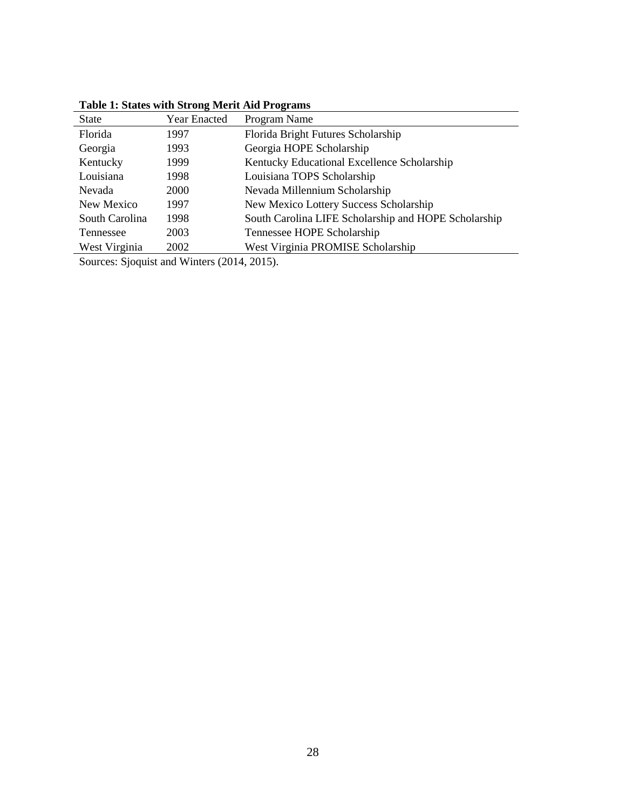|                | Table 1. States with Strong ivierit Ald 1 rogi allis |                                                      |  |  |  |  |
|----------------|------------------------------------------------------|------------------------------------------------------|--|--|--|--|
| <b>State</b>   | <b>Year Enacted</b>                                  | Program Name                                         |  |  |  |  |
| Florida        | 1997                                                 | Florida Bright Futures Scholarship                   |  |  |  |  |
| Georgia        | 1993                                                 | Georgia HOPE Scholarship                             |  |  |  |  |
| Kentucky       | 1999                                                 | Kentucky Educational Excellence Scholarship          |  |  |  |  |
| Louisiana      | 1998                                                 | Louisiana TOPS Scholarship                           |  |  |  |  |
| Nevada         | 2000                                                 | Nevada Millennium Scholarship                        |  |  |  |  |
| New Mexico     | 1997                                                 | New Mexico Lottery Success Scholarship               |  |  |  |  |
| South Carolina | 1998                                                 | South Carolina LIFE Scholarship and HOPE Scholarship |  |  |  |  |
| Tennessee      | 2003                                                 | Tennessee HOPE Scholarship                           |  |  |  |  |
| West Virginia  | 2002                                                 | West Virginia PROMISE Scholarship                    |  |  |  |  |
|                |                                                      |                                                      |  |  |  |  |

**Table 1: States with Strong Merit Aid Programs** 

Sources: Sjoquist and Winters (2014, 2015).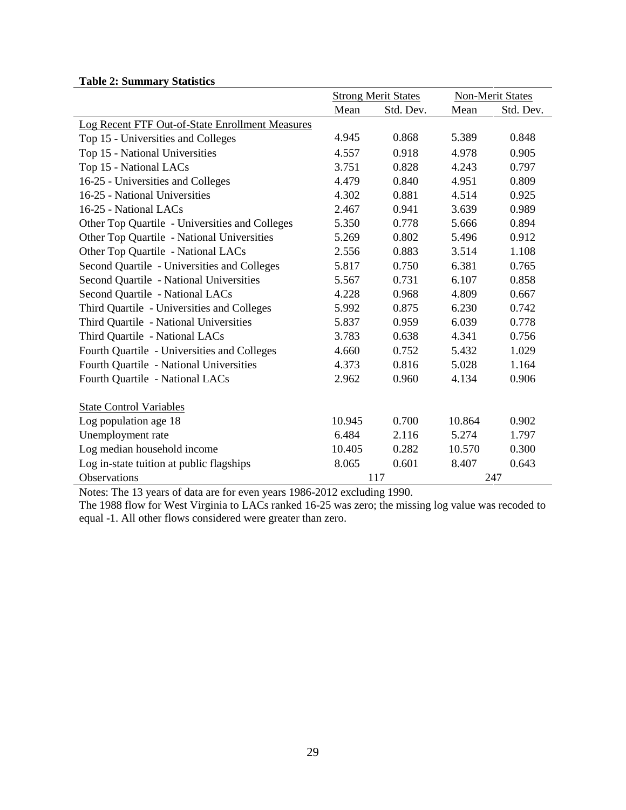|                                                 | <b>Strong Merit States</b> |           | <b>Non-Merit States</b> |           |
|-------------------------------------------------|----------------------------|-----------|-------------------------|-----------|
|                                                 | Mean                       | Std. Dev. | Mean                    | Std. Dev. |
| Log Recent FTF Out-of-State Enrollment Measures |                            |           |                         |           |
| Top 15 - Universities and Colleges              | 4.945                      | 0.868     | 5.389                   | 0.848     |
| Top 15 - National Universities                  | 4.557                      | 0.918     | 4.978                   | 0.905     |
| Top 15 - National LACs                          | 3.751                      | 0.828     | 4.243                   | 0.797     |
| 16-25 - Universities and Colleges               | 4.479                      | 0.840     | 4.951                   | 0.809     |
| 16-25 - National Universities                   | 4.302                      | 0.881     | 4.514                   | 0.925     |
| 16-25 - National LACs                           | 2.467                      | 0.941     | 3.639                   | 0.989     |
| Other Top Quartile - Universities and Colleges  | 5.350                      | 0.778     | 5.666                   | 0.894     |
| Other Top Quartile - National Universities      | 5.269                      | 0.802     | 5.496                   | 0.912     |
| Other Top Quartile - National LACs              | 2.556                      | 0.883     | 3.514                   | 1.108     |
| Second Quartile - Universities and Colleges     | 5.817                      | 0.750     | 6.381                   | 0.765     |
| Second Quartile - National Universities         | 5.567                      | 0.731     | 6.107                   | 0.858     |
| Second Quartile - National LACs                 | 4.228                      | 0.968     | 4.809                   | 0.667     |
| Third Quartile - Universities and Colleges      | 5.992                      | 0.875     | 6.230                   | 0.742     |
| Third Quartile - National Universities          | 5.837                      | 0.959     | 6.039                   | 0.778     |
| Third Quartile - National LACs                  | 3.783                      | 0.638     | 4.341                   | 0.756     |
| Fourth Quartile - Universities and Colleges     | 4.660                      | 0.752     | 5.432                   | 1.029     |
| Fourth Quartile - National Universities         | 4.373                      | 0.816     | 5.028                   | 1.164     |
| Fourth Quartile - National LACs                 | 2.962                      | 0.960     | 4.134                   | 0.906     |
|                                                 |                            |           |                         |           |
| <b>State Control Variables</b>                  |                            |           |                         |           |
| Log population age 18                           | 10.945                     | 0.700     | 10.864                  | 0.902     |
| Unemployment rate                               | 6.484                      | 2.116     | 5.274                   | 1.797     |
| Log median household income                     | 10.405                     | 0.282     | 10.570                  | 0.300     |
| Log in-state tuition at public flagships        | 8.065                      | 0.601     | 8.407                   | 0.643     |
| Observations                                    |                            | 117       |                         | 247       |

Notes: The 13 years of data are for even years 1986-2012 excluding 1990.

The 1988 flow for West Virginia to LACs ranked 16-25 was zero; the missing log value was recoded to equal -1. All other flows considered were greater than zero.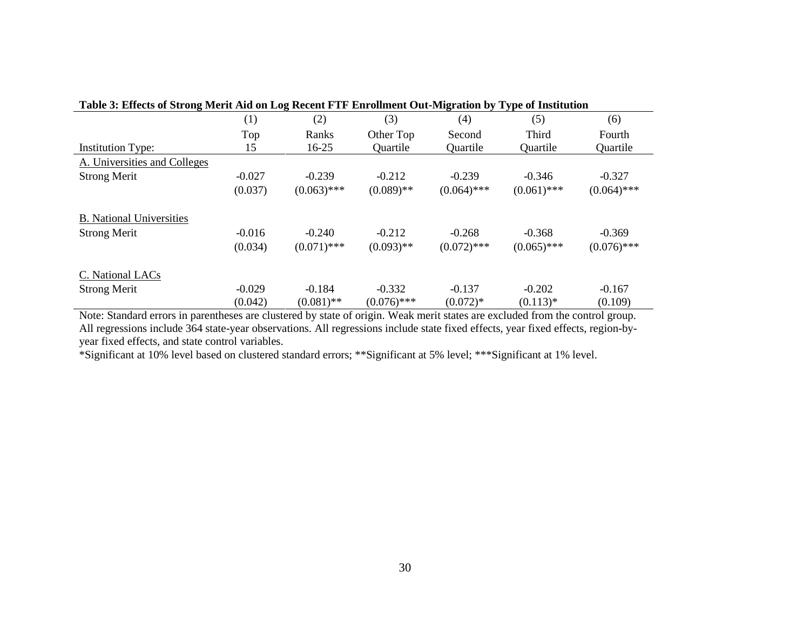| Table 5: Effects of Strong Merit Aid on Log Recent FTF Enrollment Out-Migration by Type of Institution |          |               |               |               |               |               |  |  |
|--------------------------------------------------------------------------------------------------------|----------|---------------|---------------|---------------|---------------|---------------|--|--|
|                                                                                                        | (1)      | (2)           | (3)           | (4)           | (5)           | (6)           |  |  |
|                                                                                                        | Top      | Ranks         | Other Top     | Second        | Third         | Fourth        |  |  |
| <b>Institution Type:</b>                                                                               | 15       | $16 - 25$     | Quartile      | Quartile      | Quartile      | Quartile      |  |  |
| A. Universities and Colleges                                                                           |          |               |               |               |               |               |  |  |
| <b>Strong Merit</b>                                                                                    | $-0.027$ | $-0.239$      | $-0.212$      | $-0.239$      | $-0.346$      | $-0.327$      |  |  |
|                                                                                                        | (0.037)  | $(0.063)$ *** | $(0.089)$ **  | $(0.064)$ *** | $(0.061)$ *** | $(0.064)$ *** |  |  |
| <b>B.</b> National Universities                                                                        |          |               |               |               |               |               |  |  |
| <b>Strong Merit</b>                                                                                    | $-0.016$ | $-0.240$      | $-0.212$      | $-0.268$      | $-0.368$      | $-0.369$      |  |  |
|                                                                                                        | (0.034)  | $(0.071)$ *** | $(0.093)$ **  | $(0.072)$ *** | $(0.065)$ *** | $(0.076)$ *** |  |  |
| C. National LACs                                                                                       |          |               |               |               |               |               |  |  |
| <b>Strong Merit</b>                                                                                    | $-0.029$ | $-0.184$      | $-0.332$      | $-0.137$      | $-0.202$      | $-0.167$      |  |  |
|                                                                                                        | (0.042)  | $(0.081)$ **  | $(0.076)$ *** | $(0.072)*$    | $(0.113)*$    | (0.109)       |  |  |

**Table 3: Effects of Strong Merit Aid on Log Recent FTF Enrollment Out-Migration by Type of Institution** 

Note: Standard errors in parentheses are clustered by state of origin. Weak merit states are excluded from the control group. All regressions include 364 state-year observations. All regressions include state fixed effects, year fixed effects, region-byyear fixed effects, and state control variables.

\*Significant at 10% level based on clustered standard errors; \*\*Significant at 5% level; \*\*\*Significant at 1% level.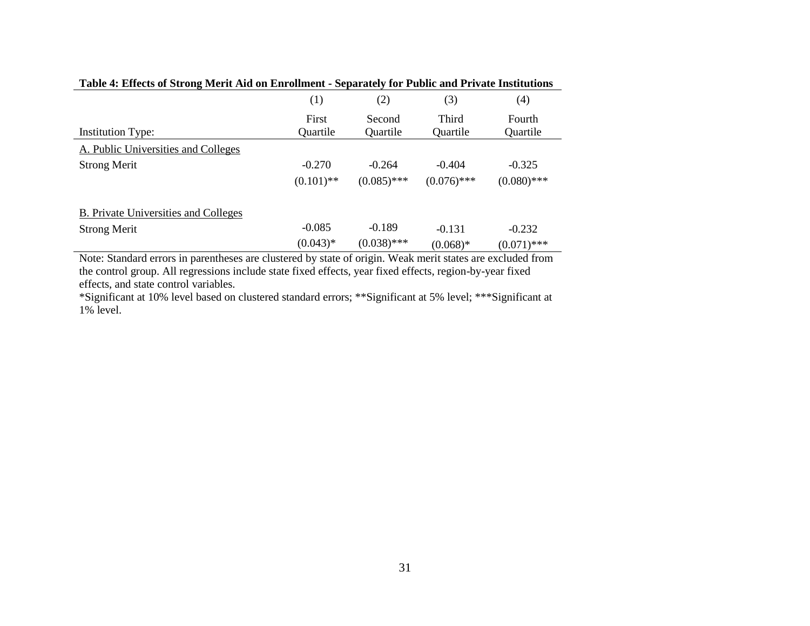|                                      | (1)               | (2)                | (3)               | (4)                |
|--------------------------------------|-------------------|--------------------|-------------------|--------------------|
| <b>Institution Type:</b>             | First<br>Quartile | Second<br>Quartile | Third<br>Quartile | Fourth<br>Quartile |
|                                      |                   |                    |                   |                    |
| A. Public Universities and Colleges  |                   |                    |                   |                    |
| <b>Strong Merit</b>                  | $-0.270$          | $-0.264$           | $-0.404$          | $-0.325$           |
|                                      | $(0.101)$ **      | $(0.085)$ ***      | $(0.076)$ ***     | $(0.080)$ ***      |
| B. Private Universities and Colleges |                   |                    |                   |                    |
| <b>Strong Merit</b>                  | $-0.085$          | $-0.189$           | $-0.131$          | $-0.232$           |
|                                      | $(0.043)*$        | $(0.038)$ ***      | $(0.068)*$        | $(0.071)$ ***      |

**Table 4: Effects of Strong Merit Aid on Enrollment - Separately for Public and Private Institutions** 

Note: Standard errors in parentheses are clustered by state of origin. Weak merit states are excluded from the control group. All regressions include state fixed effects, year fixed effects, region-by-year fixed effects, and state control variables.

\*Significant at 10% level based on clustered standard errors; \*\*Significant at 5% level; \*\*\*Significant at 1% level.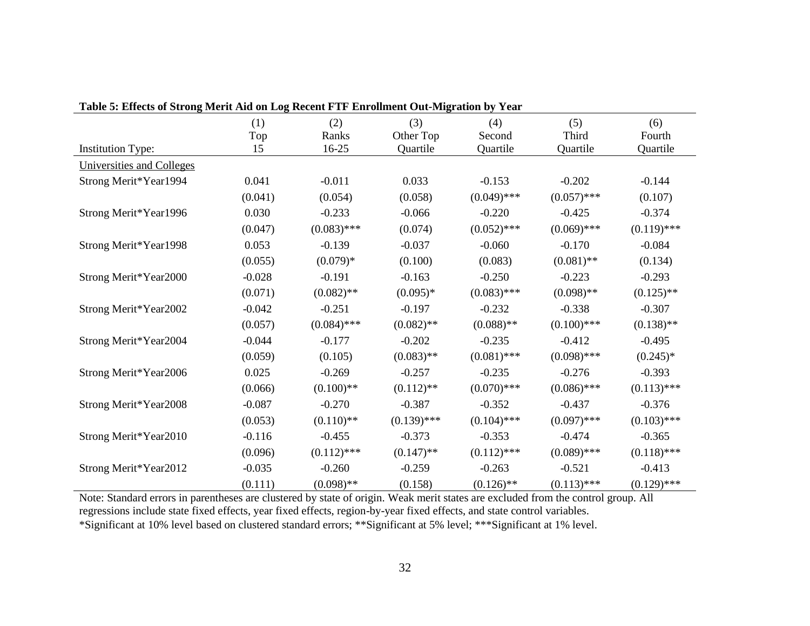| Lavie 5. Eliects of Strong inclu Alu on Eug Kecent F FF Elifonnient Out-Inigration by Teat |            |               |                  |               |               |               |  |  |
|--------------------------------------------------------------------------------------------|------------|---------------|------------------|---------------|---------------|---------------|--|--|
|                                                                                            | (1)<br>Top | (2)<br>Ranks  | (3)<br>Other Top | (4)<br>Second | (5)<br>Third  | (6)<br>Fourth |  |  |
| <b>Institution Type:</b>                                                                   | 15         | 16-25         | Quartile         | Quartile      | Quartile      | Quartile      |  |  |
| Universities and Colleges                                                                  |            |               |                  |               |               |               |  |  |
| Strong Merit*Year1994                                                                      | 0.041      | $-0.011$      | 0.033            | $-0.153$      | $-0.202$      | $-0.144$      |  |  |
|                                                                                            | (0.041)    | (0.054)       | (0.058)          | $(0.049)$ *** | $(0.057)$ *** | (0.107)       |  |  |
| Strong Merit*Year1996                                                                      | 0.030      | $-0.233$      | $-0.066$         | $-0.220$      | $-0.425$      | $-0.374$      |  |  |
|                                                                                            | (0.047)    | $(0.083)$ *** | (0.074)          | $(0.052)$ *** | $(0.069)$ *** | $(0.119)$ *** |  |  |
| Strong Merit*Year1998                                                                      | 0.053      | $-0.139$      | $-0.037$         | $-0.060$      | $-0.170$      | $-0.084$      |  |  |
|                                                                                            | (0.055)    | $(0.079)*$    | (0.100)          | (0.083)       | $(0.081)$ **  | (0.134)       |  |  |
| Strong Merit*Year2000                                                                      | $-0.028$   | $-0.191$      | $-0.163$         | $-0.250$      | $-0.223$      | $-0.293$      |  |  |
|                                                                                            | (0.071)    | $(0.082)$ **  | $(0.095)*$       | $(0.083)$ *** | $(0.098)$ **  | $(0.125)$ **  |  |  |
| Strong Merit*Year2002                                                                      | $-0.042$   | $-0.251$      | $-0.197$         | $-0.232$      | $-0.338$      | $-0.307$      |  |  |
|                                                                                            | (0.057)    | $(0.084)$ *** | $(0.082)$ **     | $(0.088)$ **  | $(0.100)$ *** | $(0.138)$ **  |  |  |
| Strong Merit*Year2004                                                                      | $-0.044$   | $-0.177$      | $-0.202$         | $-0.235$      | $-0.412$      | $-0.495$      |  |  |
|                                                                                            | (0.059)    | (0.105)       | $(0.083)$ **     | $(0.081)$ *** | $(0.098)$ *** | $(0.245)*$    |  |  |
| Strong Merit*Year2006                                                                      | 0.025      | $-0.269$      | $-0.257$         | $-0.235$      | $-0.276$      | $-0.393$      |  |  |
|                                                                                            | (0.066)    | $(0.100)$ **  | $(0.112)$ **     | $(0.070)$ *** | $(0.086)$ *** | $(0.113)$ *** |  |  |
| Strong Merit*Year2008                                                                      | $-0.087$   | $-0.270$      | $-0.387$         | $-0.352$      | $-0.437$      | $-0.376$      |  |  |
|                                                                                            | (0.053)    | $(0.110)$ **  | $(0.139)$ ***    | $(0.104)$ *** | $(0.097)$ *** | $(0.103)$ *** |  |  |
| Strong Merit*Year2010                                                                      | $-0.116$   | $-0.455$      | $-0.373$         | $-0.353$      | $-0.474$      | $-0.365$      |  |  |
|                                                                                            | (0.096)    | $(0.112)$ *** | $(0.147)$ **     | $(0.112)$ *** | $(0.089)$ *** | $(0.118)$ *** |  |  |
| Strong Merit*Year2012                                                                      | $-0.035$   | $-0.260$      | $-0.259$         | $-0.263$      | $-0.521$      | $-0.413$      |  |  |
|                                                                                            | (0.111)    | $(0.098)$ **  | (0.158)          | $(0.126)$ **  | $(0.113)$ *** | $(0.129)$ *** |  |  |

|  |  | Table 5: Effects of Strong Merit Aid on Log Recent FTF Enrollment Out-Migration by Year |  |
|--|--|-----------------------------------------------------------------------------------------|--|
|  |  |                                                                                         |  |

Note: Standard errors in parentheses are clustered by state of origin. Weak merit states are excluded from the control group. All regressions include state fixed effects, year fixed effects, region-by-year fixed effects, and state control variables. \*Significant at 10% level based on clustered standard errors; \*\*Significant at 5% level; \*\*\*Significant at 1% level.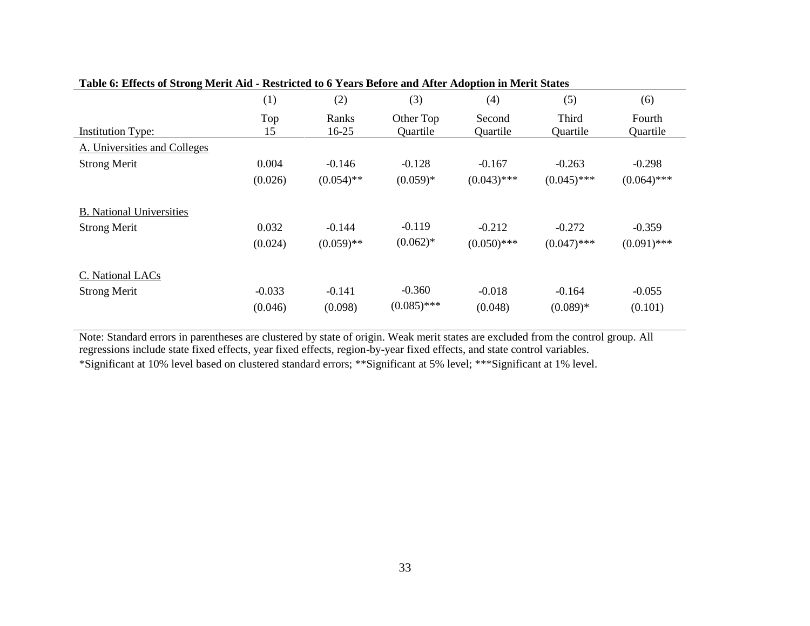| Table v. Effects of Strong Merri Alu - Restricted to 0 Tears Defore and Arter Adoption in Merri States |          |              |               |               |               |               |
|--------------------------------------------------------------------------------------------------------|----------|--------------|---------------|---------------|---------------|---------------|
|                                                                                                        | (1)      | (2)          | (3)           | (4)           | (5)           | (6)           |
|                                                                                                        | Top      | Ranks        | Other Top     | Second        | Third         | Fourth        |
| <b>Institution Type:</b>                                                                               | 15       | 16-25        | Quartile      | Quartile      | Quartile      | Quartile      |
| A. Universities and Colleges                                                                           |          |              |               |               |               |               |
| <b>Strong Merit</b>                                                                                    | 0.004    | $-0.146$     | $-0.128$      | $-0.167$      | $-0.263$      | $-0.298$      |
|                                                                                                        | (0.026)  | $(0.054)$ ** | $(0.059)*$    | $(0.043)$ *** | $(0.045)$ *** | $(0.064)$ *** |
| <b>B.</b> National Universities                                                                        |          |              |               |               |               |               |
| <b>Strong Merit</b>                                                                                    | 0.032    | $-0.144$     | $-0.119$      | $-0.212$      | $-0.272$      | $-0.359$      |
|                                                                                                        | (0.024)  | $(0.059)$ ** | $(0.062)*$    | $(0.050)$ *** | $(0.047)$ *** | $(0.091)$ *** |
| C. National LACs                                                                                       |          |              |               |               |               |               |
| <b>Strong Merit</b>                                                                                    | $-0.033$ | $-0.141$     | $-0.360$      | $-0.018$      | $-0.164$      | $-0.055$      |
|                                                                                                        | (0.046)  | (0.098)      | $(0.085)$ *** | (0.048)       | $(0.089)*$    | (0.101)       |

|  |  | Table 6: Effects of Strong Merit Aid - Restricted to 6 Years Before and After Adoption in Merit States |  |
|--|--|--------------------------------------------------------------------------------------------------------|--|
|--|--|--------------------------------------------------------------------------------------------------------|--|

Note: Standard errors in parentheses are clustered by state of origin. Weak merit states are excluded from the control group. All regressions include state fixed effects, year fixed effects, region-by-year fixed effects, and state control variables. \*Significant at 10% level based on clustered standard errors; \*\*Significant at 5% level; \*\*\*Significant at 1% level.